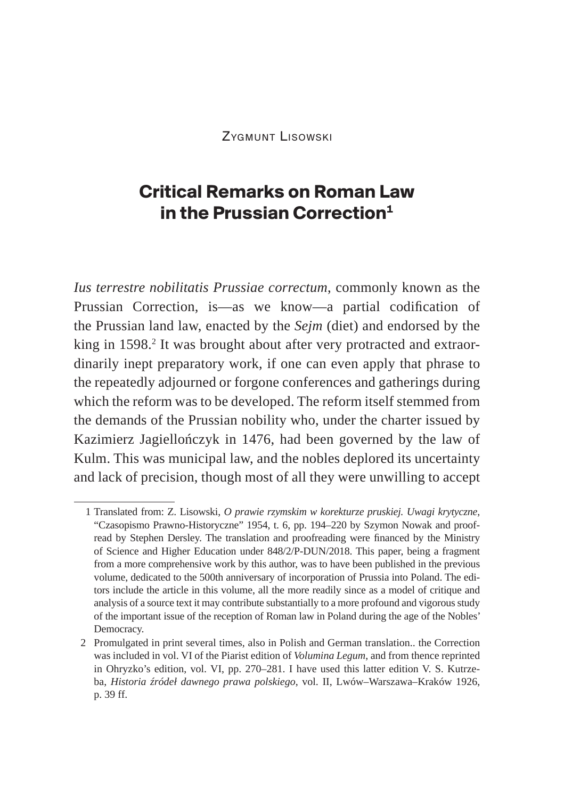Zygmunt Lisowski

# **Critical Remarks on Roman Law in the Prussian Correction**<sup>1</sup>

*Ius terrestre nobilitatis Prussiae correctum*, commonly known as the Prussian Correction, is—as we know—a partial codification of the Prussian land law, enacted by the *Sejm* (diet) and endorsed by the king in 1598. $^{2}$  It was brought about after very protracted and extraordinarily inept preparatory work, if one can even apply that phrase to the repeatedly adjourned or forgone conferences and gatherings during which the reform was to be developed. The reform itself stemmed from the demands of the Prussian nobility who, under the charter issued by Kazimierz Jagiellończyk in 1476, had been governed by the law of Kulm. This was municipal law, and the nobles deplored its uncertainty and lack of precision, though most of all they were unwilling to accept

<sup>1</sup> Translated from: Z. Lisowski, *O prawie rzymskim w korekturze pruskiej. Uwagi krytyczne*, "Czasopismo Prawno-Historyczne" 1954, t. 6, pp. 194–220 by Szymon Nowak and proofread by Stephen Dersley. The translation and proofreading were financed by the Ministry of Science and Higher Education under 848/2/P-DUN/2018. This paper, being a fragment from a more comprehensive work by this author, was to have been published in the previous volume, dedicated to the 500th anniversary of incorporation of Prussia into Poland. The editors include the article in this volume, all the more readily since as a model of critique and analysis of a source text it may contribute substantially to a more profound and vigorous study of the important issue of the reception of Roman law in Poland during the age of the Nobles' Democracy.

<sup>2</sup> Promulgated in print several times, also in Polish and German translation.. the Correction was included in vol. VI of the Piarist edition of *Volumina Legum*, and from thence reprinted in Ohryzko's edition, vol. VI, pp. 270–281. I have used this latter edition V. S. Kutrzeba, *Historia źródeł dawnego prawa polskiego*, vol. II, Lwów–Warszawa–Kraków 1926, p. 39 ff.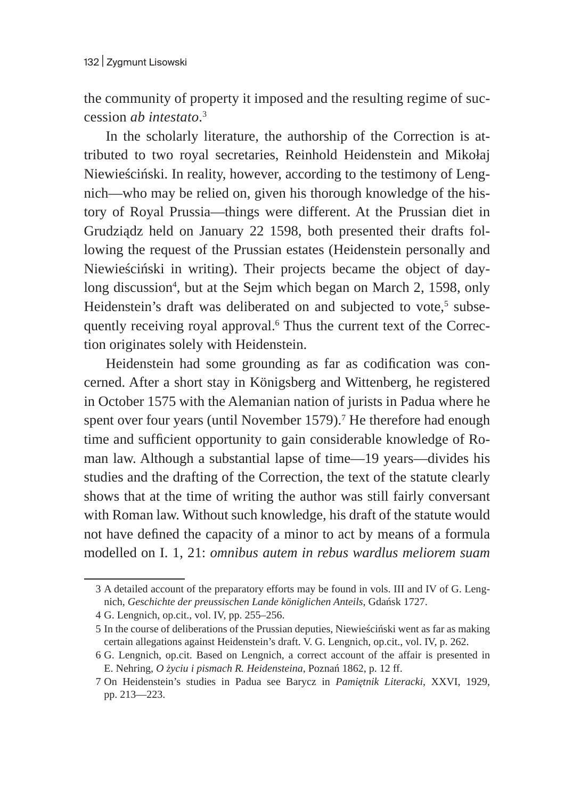the community of property it imposed and the resulting regime of succession *ab intestato*. 3

In the scholarly literature, the authorship of the Correction is attributed to two royal secretaries, Reinhold Heidenstein and Mikołaj Niewieściński. In reality, however, according to the testimony of Lengnich—who may be relied on, given his thorough knowledge of the history of Royal Prussia—things were different. At the Prussian diet in Grudziądz held on January 22 1598, both presented their drafts following the request of the Prussian estates (Heidenstein personally and Niewieściński in writing). Their projects became the object of daylong discussion<sup>4</sup>, but at the Sejm which began on March 2, 1598, only Heidenstein's draft was deliberated on and subjected to vote,<sup>5</sup> subsequently receiving royal approval.<sup>6</sup> Thus the current text of the Correction originates solely with Heidenstein.

Heidenstein had some grounding as far as codification was concerned. After a short stay in Königsberg and Wittenberg, he registered in October 1575 with the Alemanian nation of jurists in Padua where he spent over four years (until November 1579). $^7$  He therefore had enough time and sufficient opportunity to gain considerable knowledge of Roman law. Although a substantial lapse of time—19 years—divides his studies and the drafting of the Correction, the text of the statute clearly shows that at the time of writing the author was still fairly conversant with Roman law. Without such knowledge, his draft of the statute would not have defined the capacity of a minor to act by means of a formula modelled on I. 1, 21: *omnibus autem in rebus wardlus meliorem suam* 

<sup>3</sup> A detailed account of the preparatory efforts may be found in vols. III and IV of G. Lengnich, *Geschichte der preussischen Lande königlichen Anteils*, Gdańsk 1727.

<sup>4</sup> G. Lengnich, op.cit., vol. IV, pp. 255–256.

<sup>5</sup> In the course of deliberations of the Prussian deputies, Niewieściński went as far as making certain allegations against Heidenstein's draft. V. G. Lengnich, op.cit., vol. IV, p. 262.

<sup>6</sup> G. Lengnich, op.cit. Based on Lengnich, a correct account of the affair is presented in E. Nehring, *O życiu i pismach R. Heidensteina*, Poznań 1862, p. 12 ff.

<sup>7</sup> On Heidenstein's studies in Padua see Barycz in *Pamiętnik Literacki*, XXVI, 1929, pp. 213—223.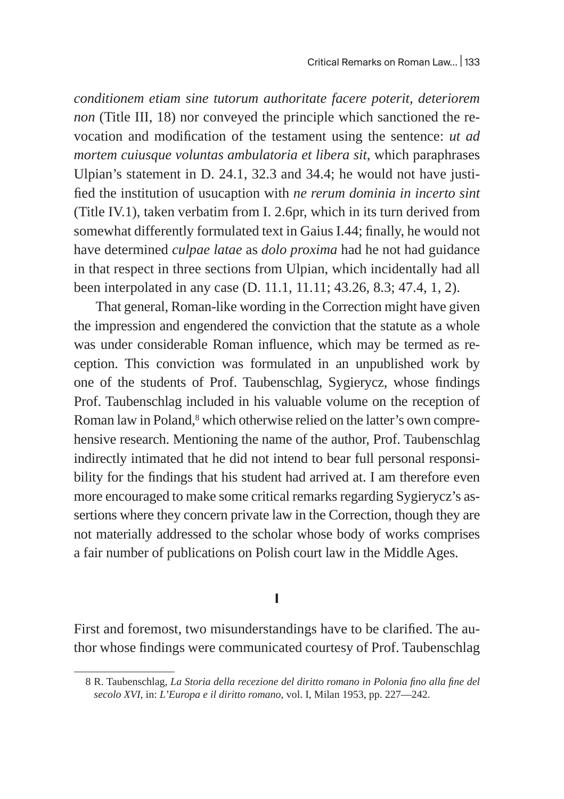*conditionem etiam sine tutorum authoritate facere poterit, deteriorem non* (Title III, 18) nor conveyed the principle which sanctioned the revocation and modification of the testament using the sentence: *ut ad mortem cuiusque voluntas ambulatoria et libera sit*, which paraphrases Ulpian's statement in D. 24.1, 32.3 and 34.4; he would not have justified the institution of usucaption with *ne rerum dominia in incerto sint* (Title IV.1), taken verbatim from I. 2.6pr, which in its turn derived from somewhat differently formulated text in Gaius I.44; finally, he would not have determined *culpae latae* as *dolo proxima* had he not had guidance in that respect in three sections from Ulpian, which incidentally had all been interpolated in any case (D. 11.1, 11.11; 43.26, 8.3; 47.4, 1, 2).

That general, Roman-like wording in the Correction might have given the impression and engendered the conviction that the statute as a whole was under considerable Roman influence, which may be termed as reception. This conviction was formulated in an unpublished work by one of the students of Prof. Taubenschlag, Sygierycz, whose findings Prof. Taubenschlag included in his valuable volume on the reception of Roman law in Poland, $^8$  which otherwise relied on the latter's own comprehensive research. Mentioning the name of the author, Prof. Taubenschlag indirectly intimated that he did not intend to bear full personal responsibility for the findings that his student had arrived at. I am therefore even more encouraged to make some critical remarks regarding Sygierycz's assertions where they concern private law in the Correction, though they are not materially addressed to the scholar whose body of works comprises a fair number of publications on Polish court law in the Middle Ages.

#### **I**

First and foremost, two misunderstandings have to be clarified. The author whose findings were communicated courtesy of Prof. Taubenschlag

<sup>8</sup> R. Taubenschlag, *La Storia della recezione del diritto romano in Polonia fino alla fine del secolo XVI*, in: *L'Europa e il diritto romano*, vol. I, Milan 1953, pp. 227—242.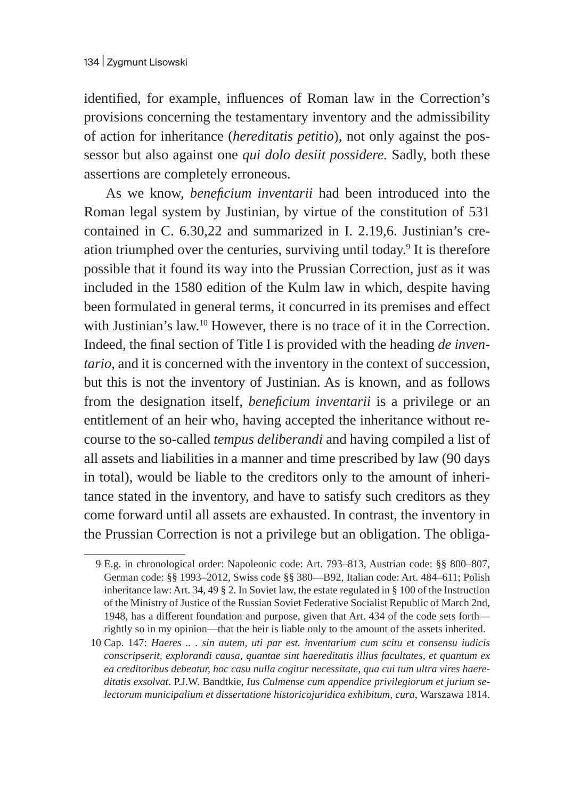identified, for example, influences of Roman law in the Correction's provisions concerning the testamentary inventory and the admissibility of action for inheritance (*hereditatis petitio*), not only against the possessor but also against one *qui dolo desiit possidere.* Sadly, both these assertions are completely erroneous.

As we know, *beneficium inventarii* had been introduced into the Roman legal system by Justinian, by virtue of the constitution of 531 contained in C. 6.30,22 and summarized in I. 2.19,6. Justinian's creation triumphed over the centuries, surviving until today.<sup>9</sup> It is therefore possible that it found its way into the Prussian Correction, just as it was included in the 1580 edition of the Kulm law in which, despite having been formulated in general terms, it concurred in its premises and effect with Justinian's law.<sup>10</sup> However, there is no trace of it in the Correction. Indeed, the final section of Title I is provided with the heading *de inventario,* and it is concerned with the inventory in the context of succession, but this is not the inventory of Justinian. As is known, and as follows from the designation itself, *beneficium inventarii* is a privilege or an entitlement of an heir who, having accepted the inheritance without recourse to the so-called *tempus deliberandi* and having compiled a list of all assets and liabilities in a manner and time prescribed by law (90 days in total), would be liable to the creditors only to the amount of inheritance stated in the inventory, and have to satisfy such creditors as they come forward until all assets are exhausted. In contrast, the inventory in the Prussian Correction is not a privilege but an obligation. The obliga-

<sup>9</sup> E.g. in chronological order: Napoleonic code: Art. 793–813, Austrian code: §§ 800–807, German code: §§ 1993–2012, Swiss code §§ 380—B92, Italian code: Art. 484–611; Polish inheritance law: Art. 34, 49 § 2. In Soviet law, the estate regulated in § 100 of the Instruction of the Ministry of Justice of the Russian Soviet Federative Socialist Republic of March 2nd, 1948, has a different foundation and purpose, given that Art. 434 of the code sets forth rightly so in my opinion—that the heir is liable only to the amount of the assets inherited.

<sup>10</sup> Cap. 147: *Haeres .. . sin autem, uti par est. inventarium cum scitu et consensu iudicis conscripserit, explorandi causa, quantae sint haereditatis illius facultates, et quantum ex ea creditoribus debeatur, hoc casu nulla cogitur necessitate, qua cui tum ultra vires haereditatis exsolvat*. P.J.W. Bandtkie, *Ius Culmense cum appendice privilegiorum et jurium selectorum municipalium et dissertatione historicojuridica exhibitum, cura*, Warszawa 1814.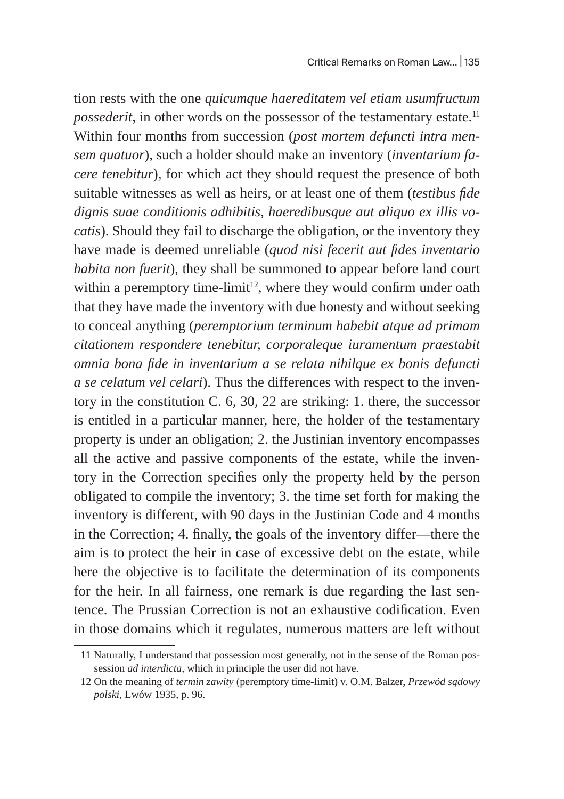tion rests with the one *quicumque haereditatem vel etiam usumfructum possederit*, in other words on the possessor of the testamentary estate.<sup>11</sup> Within four months from succession (*post mortem defuncti intra mensem quatuor*), such a holder should make an inventory (*inventarium facere tenebitur*), for which act they should request the presence of both suitable witnesses as well as heirs, or at least one of them (*testibus fide dignis suae conditionis adhibitis, haeredibusque aut aliquo ex illis vocatis*). Should they fail to discharge the obligation, or the inventory they have made is deemed unreliable (*quod nisi fecerit aut fides inventario habita non fuerit*), they shall be summoned to appear before land court within a peremptory time-limit<sup>12</sup>, where they would confirm under oath that they have made the inventory with due honesty and without seeking to conceal anything (*peremptorium terminum habebit atque ad primam citationem respondere tenebitur, corporaleque iuramentum praestabit omnia bona fide in inventarium a se relata nihilque ex bonis defuncti a se celatum vel celari*). Thus the differences with respect to the inventory in the constitution C. 6, 30, 22 are striking: 1. there, the successor is entitled in a particular manner, here, the holder of the testamentary property is under an obligation; 2. the Justinian inventory encompasses all the active and passive components of the estate, while the inventory in the Correction specifies only the property held by the person obligated to compile the inventory; 3. the time set forth for making the inventory is different, with 90 days in the Justinian Code and 4 months in the Correction; 4. finally, the goals of the inventory differ—there the aim is to protect the heir in case of excessive debt on the estate, while here the objective is to facilitate the determination of its components for the heir. In all fairness, one remark is due regarding the last sentence. The Prussian Correction is not an exhaustive codification. Even in those domains which it regulates, numerous matters are left without

<sup>11</sup> Naturally, I understand that possession most generally, not in the sense of the Roman possession *ad interdicta*, which in principle the user did not have.

<sup>12</sup> On the meaning of *termin zawity* (peremptory time-limit) v. O.M. Balzer, *Przewód sądowy polski*, Lwów 1935, p. 96.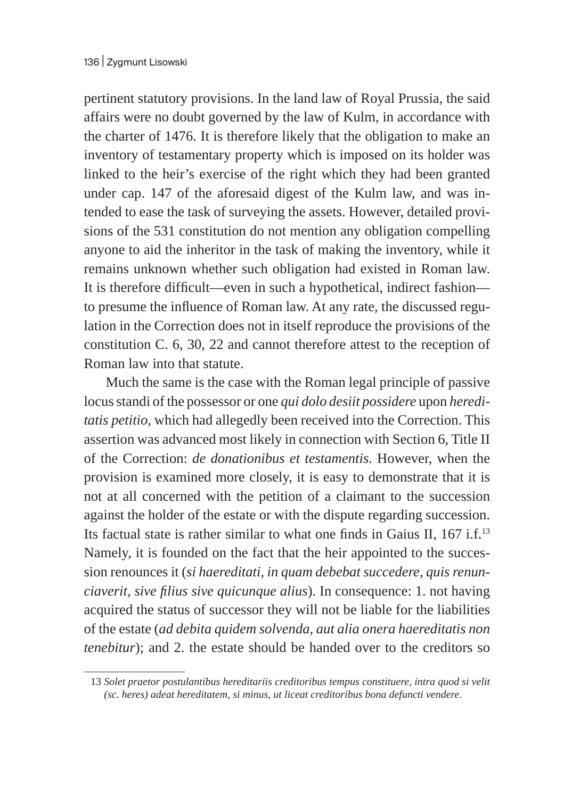pertinent statutory provisions. In the land law of Royal Prussia, the said affairs were no doubt governed by the law of Kulm, in accordance with the charter of 1476. It is therefore likely that the obligation to make an inventory of testamentary property which is imposed on its holder was linked to the heir's exercise of the right which they had been granted under cap. 147 of the aforesaid digest of the Kulm law, and was intended to ease the task of surveying the assets. However, detailed provisions of the 531 constitution do not mention any obligation compelling anyone to aid the inheritor in the task of making the inventory, while it remains unknown whether such obligation had existed in Roman law. It is therefore difficult—even in such a hypothetical, indirect fashion to presume the influence of Roman law. At any rate, the discussed regulation in the Correction does not in itself reproduce the provisions of the constitution C. 6, 30, 22 and cannot therefore attest to the reception of Roman law into that statute.

Much the same is the case with the Roman legal principle of passive locus standi of the possessor or one *qui dolo desiit possidere* upon *hereditatis petitio*, which had allegedly been received into the Correction. This assertion was advanced most likely in connection with Section 6, Title II of the Correction: *de donationibus et testamentis*. However, when the provision is examined more closely, it is easy to demonstrate that it is not at all concerned with the petition of a claimant to the succession against the holder of the estate or with the dispute regarding succession. Its factual state is rather similar to what one finds in Gaius II, 167 i.f.<sup>13</sup> Namely, it is founded on the fact that the heir appointed to the succession renounces it (*si haereditati, in quam debebat succedere, quis renunciaverit, sive filius sive quicunque alius*). In consequence: 1. not having acquired the status of successor they will not be liable for the liabilities of the estate (*ad debita quidem solvenda, aut alia onera haereditatis non tenebitur*); and 2. the estate should be handed over to the creditors so

<sup>13</sup> *Solet praetor postulantibus hereditariis creditoribus tempus constituere, intra quod si velit (sc. heres) adeat hereditatem, si minus, ut liceat creditoribus bona defuncti vendere*.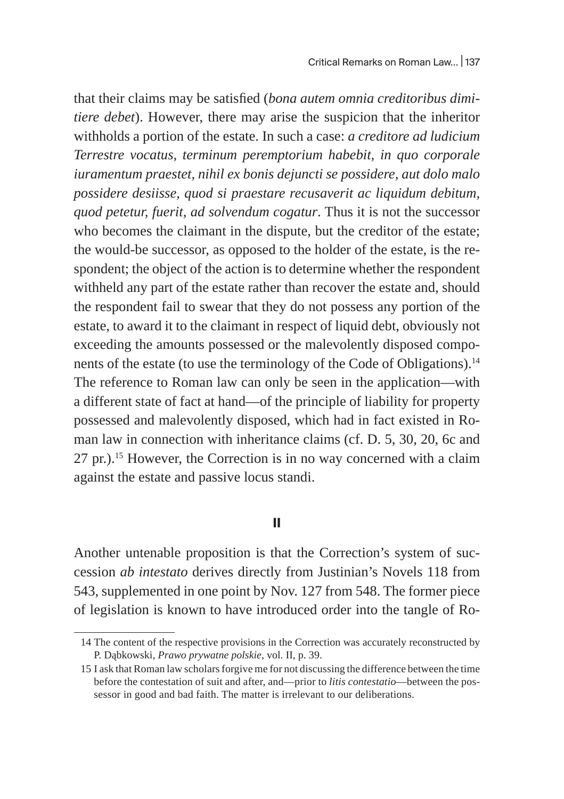that their claims may be satisfied (*bona autem omnia creditoribus dimitiere debet*). However, there may arise the suspicion that the inheritor withholds a portion of the estate. In such a case: *a creditore ad ludicium Terrestre vocatus, terminum peremptorium habebit, in quo corporale iuramentum praestet, nihil ex bonis dejuncti se possidere, aut dolo malo possidere desiisse, quod si praestare recusaverit ac liquidum debitum, quod petetur, fuerit, ad solvendum cogatur*. Thus it is not the successor who becomes the claimant in the dispute, but the creditor of the estate; the would-be successor, as opposed to the holder of the estate, is the respondent; the object of the action is to determine whether the respondent withheld any part of the estate rather than recover the estate and, should the respondent fail to swear that they do not possess any portion of the estate, to award it to the claimant in respect of liquid debt, obviously not exceeding the amounts possessed or the malevolently disposed components of the estate (to use the terminology of the Code of Obligations).<sup>14</sup> The reference to Roman law can only be seen in the application—with a different state of fact at hand—of the principle of liability for property possessed and malevolently disposed, which had in fact existed in Roman law in connection with inheritance claims (cf. D. 5, 30, 20, 6c and 27 pr.).<sup>15</sup> However, the Correction is in no way concerned with a claim against the estate and passive locus standi.

#### **II**

Another untenable proposition is that the Correction's system of succession *ab intestato* derives directly from Justinian's Novels 118 from 543, supplemented in one point by Nov. 127 from 548. The former piece of legislation is known to have introduced order into the tangle of Ro-

<sup>14</sup> The content of the respective provisions in the Correction was accurately reconstructed by P. Dąbkowski, *Prawo prywatne polskie*, vol. II, p. 39.

<sup>15</sup> I ask that Roman law scholars forgive me for not discussing the difference between the time before the contestation of suit and after, and—prior to *litis contestatio*—between the possessor in good and bad faith. The matter is irrelevant to our deliberations.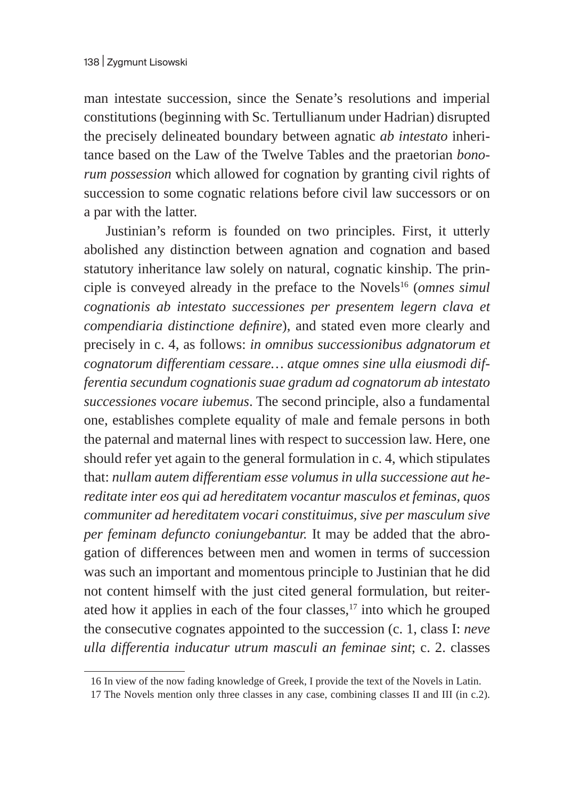man intestate succession, since the Senate's resolutions and imperial constitutions (beginning with Sc. Tertullianum under Hadrian) disrupted the precisely delineated boundary between agnatic *ab intestato* inheritance based on the Law of the Twelve Tables and the praetorian *bonorum possession* which allowed for cognation by granting civil rights of succession to some cognatic relations before civil law successors or on a par with the latter.

Justinian's reform is founded on two principles. First, it utterly abolished any distinction between agnation and cognation and based statutory inheritance law solely on natural, cognatic kinship. The principle is conveyed already in the preface to the Novels<sup>16</sup> (*omnes simul cognationis ab intestato successiones per presentem legern clava et compendiaria distinctione definire*), and stated even more clearly and precisely in c. 4, as follows: *in omnibus successionibus adgnatorum et cognatorum differentiam cessare… atque omnes sine ulla eiusmodi differentia secundum cognationis suae gradum ad cognatorum ab intestato successiones vocare iubemus*. The second principle, also a fundamental one, establishes complete equality of male and female persons in both the paternal and maternal lines with respect to succession law. Here, one should refer yet again to the general formulation in c. 4, which stipulates that: *nullam autem differentiam esse volumus in ulla successione aut hereditate inter eos qui ad hereditatem vocantur masculos et feminas, quos communiter ad hereditatem vocari constituimus, sive per masculum sive per feminam defuncto coniungebantur.* It may be added that the abrogation of differences between men and women in terms of succession was such an important and momentous principle to Justinian that he did not content himself with the just cited general formulation, but reiterated how it applies in each of the four classes, $17$  into which he grouped the consecutive cognates appointed to the succession (c. 1, class I: *neve ulla differentia inducatur utrum masculi an feminae sint*; c. 2. classes

<sup>16</sup> In view of the now fading knowledge of Greek, I provide the text of the Novels in Latin.

<sup>17</sup> The Novels mention only three classes in any case, combining classes II and III (in c.2).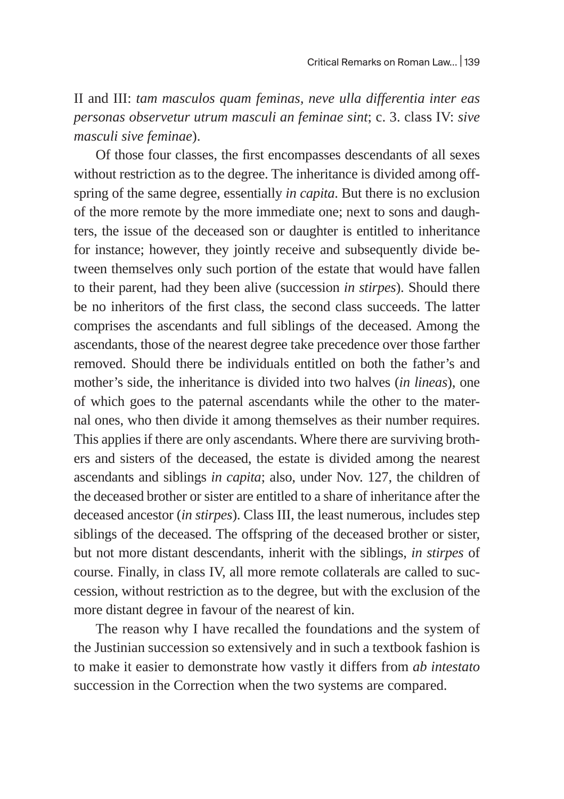II and III: *tam masculos quam feminas, neve ulla differentia inter eas personas observetur utrum masculi an feminae sint*; c. 3. class IV: *sive masculi sive feminae*).

Of those four classes, the first encompasses descendants of all sexes without restriction as to the degree. The inheritance is divided among offspring of the same degree, essentially *in capita*. But there is no exclusion of the more remote by the more immediate one; next to sons and daughters, the issue of the deceased son or daughter is entitled to inheritance for instance; however, they jointly receive and subsequently divide between themselves only such portion of the estate that would have fallen to their parent, had they been alive (succession *in stirpes*). Should there be no inheritors of the first class, the second class succeeds. The latter comprises the ascendants and full siblings of the deceased. Among the ascendants, those of the nearest degree take precedence over those farther removed. Should there be individuals entitled on both the father's and mother's side, the inheritance is divided into two halves (*in lineas*), one of which goes to the paternal ascendants while the other to the maternal ones, who then divide it among themselves as their number requires. This applies if there are only ascendants. Where there are surviving brothers and sisters of the deceased, the estate is divided among the nearest ascendants and siblings *in capita*; also, under Nov. 127, the children of the deceased brother or sister are entitled to a share of inheritance after the deceased ancestor (*in stirpes*). Class III, the least numerous, includes step siblings of the deceased. The offspring of the deceased brother or sister, but not more distant descendants, inherit with the siblings, *in stirpes* of course. Finally, in class IV, all more remote collaterals are called to succession, without restriction as to the degree, but with the exclusion of the more distant degree in favour of the nearest of kin.

The reason why I have recalled the foundations and the system of the Justinian succession so extensively and in such a textbook fashion is to make it easier to demonstrate how vastly it differs from *ab intestato* succession in the Correction when the two systems are compared.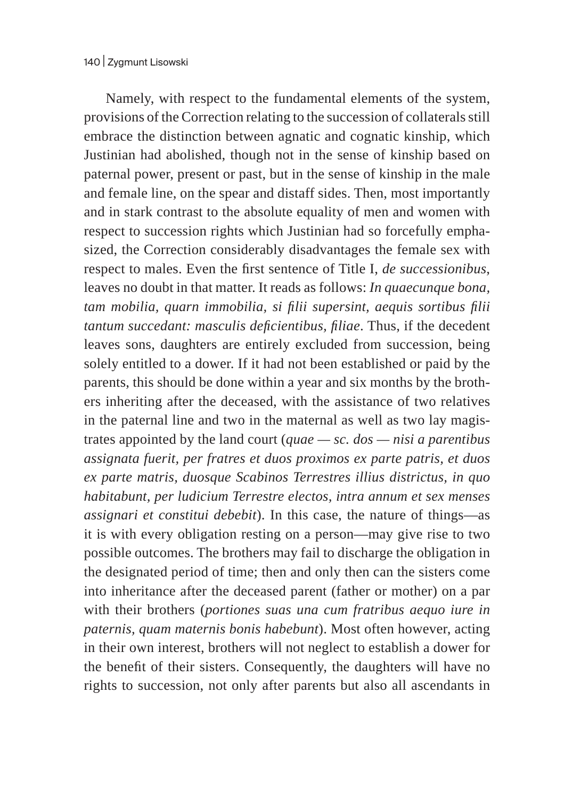Namely, with respect to the fundamental elements of the system, provisions of the Correction relating to the succession of collaterals still embrace the distinction between agnatic and cognatic kinship, which Justinian had abolished, though not in the sense of kinship based on paternal power, present or past, but in the sense of kinship in the male and female line, on the spear and distaff sides. Then, most importantly and in stark contrast to the absolute equality of men and women with respect to succession rights which Justinian had so forcefully emphasized, the Correction considerably disadvantages the female sex with respect to males. Even the first sentence of Title I, *de successionibus*, leaves no doubt in that matter. It reads as follows: *In quaecunque bona, tam mobilia, quarn immobilia, si filii supersint, aequis sortibus filii tantum succedant: masculis deficientibus, filiae*. Thus, if the decedent leaves sons, daughters are entirely excluded from succession, being solely entitled to a dower. If it had not been established or paid by the parents, this should be done within a year and six months by the brothers inheriting after the deceased, with the assistance of two relatives in the paternal line and two in the maternal as well as two lay magistrates appointed by the land court (*quae — sc. dos — nisi a parentibus assignata fuerit, per fratres et duos proximos ex parte patris, et duos ex parte matris, duosque Scabinos Terrestres illius districtus, in quo habitabunt, per ludicium Terrestre electos, intra annum et sex menses assignari et constitui debebit*). In this case, the nature of things—as it is with every obligation resting on a person—may give rise to two possible outcomes. The brothers may fail to discharge the obligation in the designated period of time; then and only then can the sisters come into inheritance after the deceased parent (father or mother) on a par with their brothers (*portiones suas una cum fratribus aequo iure in paternis, quam maternis bonis habebunt*). Most often however, acting in their own interest, brothers will not neglect to establish a dower for the benefit of their sisters. Consequently, the daughters will have no rights to succession, not only after parents but also all ascendants in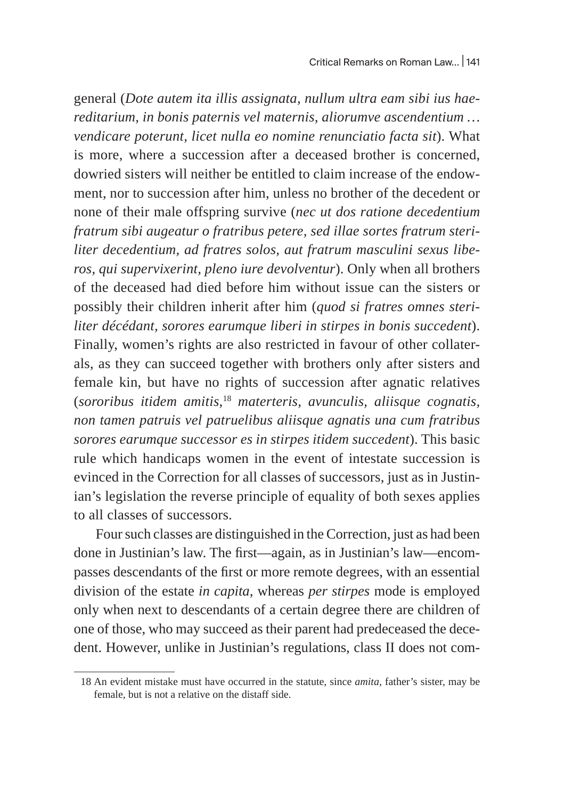general (*Dote autem ita illis assignata, nullum ultra eam sibi ius haereditarium, in bonis paternis vel maternis, aliorumve ascendentium … vendicare poterunt, licet nulla eo nomine renunciatio facta sit*). What is more, where a succession after a deceased brother is concerned, dowried sisters will neither be entitled to claim increase of the endowment, nor to succession after him, unless no brother of the decedent or none of their male offspring survive (*nec ut dos ratione decedentium fratrum sibi augeatur o fratribus petere, sed illae sortes fratrum steriliter decedentium, ad fratres solos, aut fratrum masculini sexus liberos, qui supervixerint, pleno iure devolventur*). Only when all brothers of the deceased had died before him without issue can the sisters or possibly their children inherit after him (*quod si fratres omnes steriliter décédant, sorores earumque liberi in stirpes in bonis succedent*). Finally, women's rights are also restricted in favour of other collaterals, as they can succeed together with brothers only after sisters and female kin, but have no rights of succession after agnatic relatives (*sororibus itidem amitis*, <sup>18</sup> *materteris, avunculis, aliisque cognatis, non tamen patruis vel patruelibus aliisque agnatis una cum fratribus sorores earumque successor es in stirpes itidem succedent*). This basic rule which handicaps women in the event of intestate succession is evinced in the Correction for all classes of successors, just as in Justinian's legislation the reverse principle of equality of both sexes applies to all classes of successors.

Four such classes are distinguished in the Correction, just as had been done in Justinian's law. The first—again, as in Justinian's law—encompasses descendants of the first or more remote degrees, with an essential division of the estate *in capita,* whereas *per stirpes* mode is employed only when next to descendants of a certain degree there are children of one of those, who may succeed as their parent had predeceased the decedent. However, unlike in Justinian's regulations, class II does not com-

<sup>18</sup> An evident mistake must have occurred in the statute, since *amita,* father's sister, may be female, but is not a relative on the distaff side.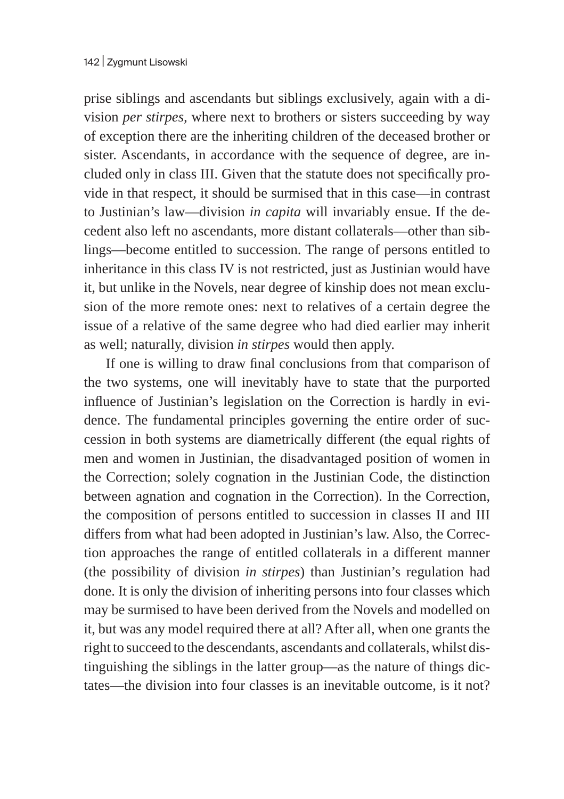prise siblings and ascendants but siblings exclusively, again with a division *per stirpes,* where next to brothers or sisters succeeding by way of exception there are the inheriting children of the deceased brother or sister. Ascendants, in accordance with the sequence of degree, are included only in class III. Given that the statute does not specifically provide in that respect, it should be surmised that in this case—in contrast to Justinian's law—division *in capita* will invariably ensue. If the decedent also left no ascendants, more distant collaterals—other than siblings—become entitled to succession. The range of persons entitled to inheritance in this class IV is not restricted, just as Justinian would have it, but unlike in the Novels, near degree of kinship does not mean exclusion of the more remote ones: next to relatives of a certain degree the issue of a relative of the same degree who had died earlier may inherit as well; naturally, division *in stirpes* would then apply.

If one is willing to draw final conclusions from that comparison of the two systems, one will inevitably have to state that the purported influence of Justinian's legislation on the Correction is hardly in evidence. The fundamental principles governing the entire order of succession in both systems are diametrically different (the equal rights of men and women in Justinian, the disadvantaged position of women in the Correction; solely cognation in the Justinian Code, the distinction between agnation and cognation in the Correction). In the Correction, the composition of persons entitled to succession in classes II and III differs from what had been adopted in Justinian's law. Also, the Correction approaches the range of entitled collaterals in a different manner (the possibility of division *in stirpes*) than Justinian's regulation had done. It is only the division of inheriting persons into four classes which may be surmised to have been derived from the Novels and modelled on it, but was any model required there at all? After all, when one grants the right to succeed to the descendants, ascendants and collaterals, whilst distinguishing the siblings in the latter group—as the nature of things dictates—the division into four classes is an inevitable outcome, is it not?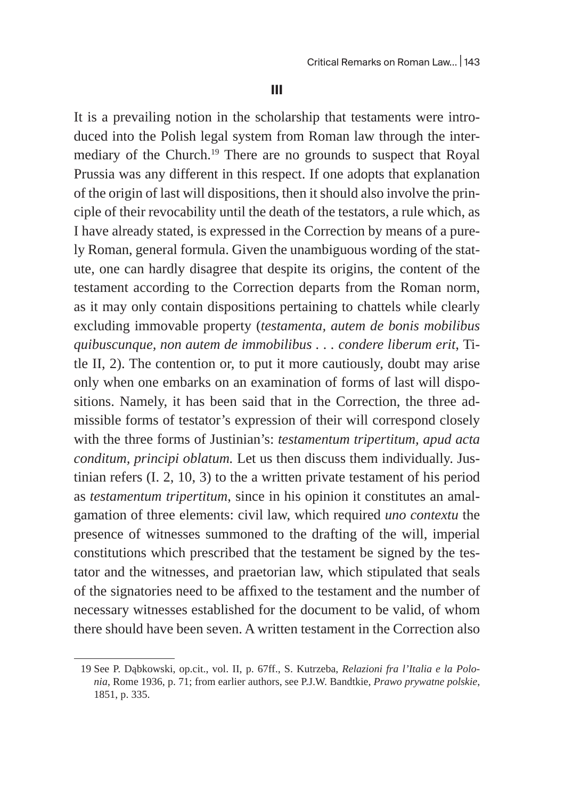**III**

It is a prevailing notion in the scholarship that testaments were introduced into the Polish legal system from Roman law through the intermediary of the Church.<sup>19</sup> There are no grounds to suspect that Royal Prussia was any different in this respect. If one adopts that explanation of the origin of last will dispositions, then it should also involve the principle of their revocability until the death of the testators, a rule which, as I have already stated, is expressed in the Correction by means of a purely Roman, general formula. Given the unambiguous wording of the statute, one can hardly disagree that despite its origins, the content of the testament according to the Correction departs from the Roman norm, as it may only contain dispositions pertaining to chattels while clearly excluding immovable property (*testamenta, autem de bonis mobilibus quibuscunque, non autem de immobilibus . . . condere liberum erit*, Title II, 2). The contention or, to put it more cautiously, doubt may arise only when one embarks on an examination of forms of last will dispositions. Namely, it has been said that in the Correction, the three admissible forms of testator's expression of their will correspond closely with the three forms of Justinian's: *testamentum tripertitum, apud acta conditum, principi oblatum.* Let us then discuss them individually. Justinian refers (I. 2, 10, 3) to the a written private testament of his period as *testamentum tripertitum*, since in his opinion it constitutes an amalgamation of three elements: civil law, which required *uno contextu* the presence of witnesses summoned to the drafting of the will, imperial constitutions which prescribed that the testament be signed by the testator and the witnesses, and praetorian law, which stipulated that seals of the signatories need to be affixed to the testament and the number of necessary witnesses established for the document to be valid, of whom there should have been seven. A written testament in the Correction also

<sup>19</sup> See P. Dąbkowski, op.cit., vol. II, p. 67ff., S. Kutrzeba, *Relazioni fra l'Italia e la Polonia*, Rome 1936, p. 71; from earlier authors, see P.J.W. Bandtkie, *Prawo prywatne polskie*, 1851, p. 335.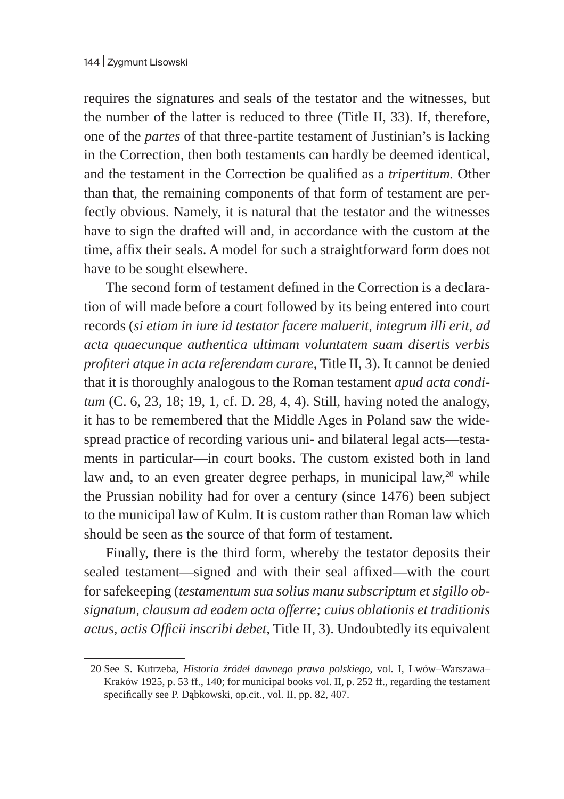requires the signatures and seals of the testator and the witnesses, but the number of the latter is reduced to three (Title II, 33). If, therefore, one of the *partes* of that three-partite testament of Justinian's is lacking in the Correction, then both testaments can hardly be deemed identical, and the testament in the Correction be qualified as a *tripertitum.* Other than that, the remaining components of that form of testament are perfectly obvious. Namely, it is natural that the testator and the witnesses have to sign the drafted will and, in accordance with the custom at the time, affix their seals. A model for such a straightforward form does not have to be sought elsewhere.

The second form of testament defined in the Correction is a declaration of will made before a court followed by its being entered into court records (*si etiam in iure id testator facere maluerit, integrum illi erit, ad acta quaecunque authentica ultimam voluntatem suam disertis verbis profiteri atque in acta referendam curare*, Title II, 3). It cannot be denied that it is thoroughly analogous to the Roman testament *apud acta conditum* (C. 6, 23, 18; 19, 1, cf. D. 28, 4, 4). Still, having noted the analogy, it has to be remembered that the Middle Ages in Poland saw the widespread practice of recording various uni- and bilateral legal acts—testaments in particular—in court books. The custom existed both in land law and, to an even greater degree perhaps, in municipal law, $20$  while the Prussian nobility had for over a century (since 1476) been subject to the municipal law of Kulm. It is custom rather than Roman law which should be seen as the source of that form of testament.

Finally, there is the third form, whereby the testator deposits their sealed testament—signed and with their seal affixed—with the court for safekeeping (*testamentum sua solius manu subscriptum et sigillo obsignatum, clausum ad eadem acta offerre; cuius oblationis et traditionis actus, actis Officii inscribi debet*, Title II, 3). Undoubtedly its equivalent

<sup>20</sup> See S. Kutrzeba, *Historia źródeł dawnego prawa polskiego*, vol. I, Lwów–Warszawa– Kraków 1925, p. 53 ff., 140; for municipal books vol. II, p. 252 ff., regarding the testament specifically see P. Dąbkowski, op.cit., vol. II, pp. 82, 407.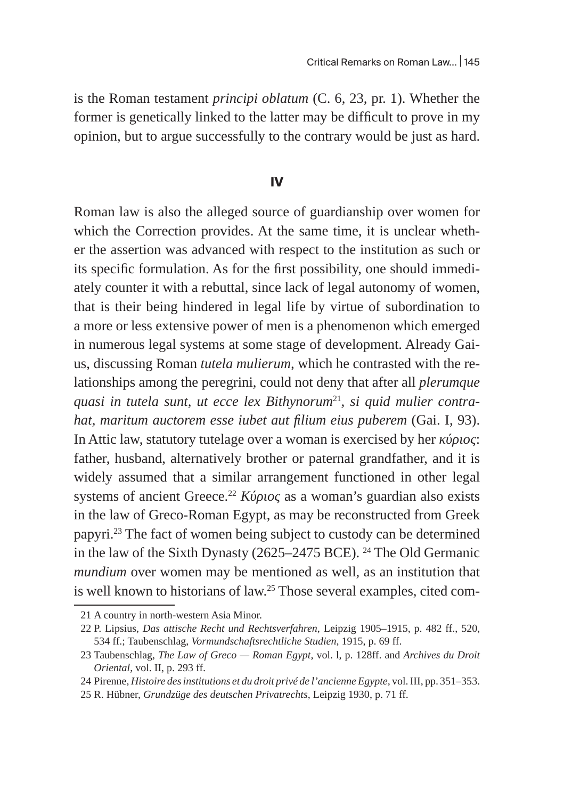is the Roman testament *principi oblatum* (C. 6, 23, pr. 1). Whether the former is genetically linked to the latter may be difficult to prove in my opinion, but to argue successfully to the contrary would be just as hard.

#### **IV**

Roman law is also the alleged source of guardianship over women for which the Correction provides. At the same time, it is unclear whether the assertion was advanced with respect to the institution as such or its specific formulation. As for the first possibility, one should immediately counter it with a rebuttal, since lack of legal autonomy of women, that is their being hindered in legal life by virtue of subordination to a more or less extensive power of men is a phenomenon which emerged in numerous legal systems at some stage of development. Already Gaius, discussing Roman *tutela mulierum,* which he contrasted with the relationships among the peregrini, could not deny that after all *plerumque*  quasi in tutela sunt, ut ecce lex Bithynorum<sup>21</sup>, si quid mulier contra*hat, maritum auctorem esse iubet aut filium eius puberem* (Gai. I, 93). In Attic law, statutory tutelage over a woman is exercised by her *κύριος*: father, husband, alternatively brother or paternal grandfather, and it is widely assumed that a similar arrangement functioned in other legal systems of ancient Greece.<sup>22</sup> *Κύριος* as a woman's guardian also exists in the law of Greco-Roman Egypt, as may be reconstructed from Greek papyri.23 The fact of women being subject to custody can be determined in the law of the Sixth Dynasty (2625–2475 BCE). 24 The Old Germanic *mundium* over women may be mentioned as well, as an institution that is well known to historians of law.<sup>25</sup> Those several examples, cited com-

<sup>21</sup> A country in north-western Asia Minor.

<sup>22</sup> P. Lipsius, *Das attische Recht und Rechtsverfahren*, Leipzig 1905–1915, p. 482 ff., 520, 534 ff.; Taubenschlag, *Vormundschaftsrechtliche Studien*, 1915, p. 69 ff.

<sup>23</sup> Taubenschlag, *The Law of Greco — Roman Egypt*, vol. l, p. 128ff. and *Archives du Droit Oriental*, vol. II, p. 293 ff.

<sup>24</sup> Pirenne, *Histoire des institutions et du droit privé de l'ancienne Egypte,* vol. III, pp. 351–353.

<sup>25</sup> R. Hübner, *Grundzüge des deutschen Privatrechts*, Leipzig 1930, p. 71 ff.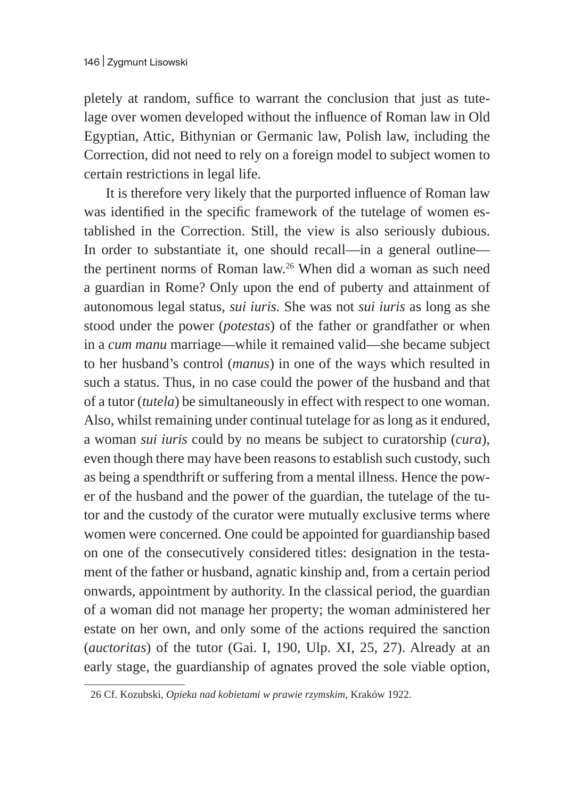pletely at random, suffice to warrant the conclusion that just as tutelage over women developed without the influence of Roman law in Old Egyptian, Attic, Bithynian or Germanic law, Polish law, including the Correction, did not need to rely on a foreign model to subject women to certain restrictions in legal life.

It is therefore very likely that the purported influence of Roman law was identified in the specific framework of the tutelage of women established in the Correction. Still, the view is also seriously dubious. In order to substantiate it, one should recall—in a general outline the pertinent norms of Roman law.26 When did a woman as such need a guardian in Rome? Only upon the end of puberty and attainment of autonomous legal status, *sui iuris.* She was not *sui iuris* as long as she stood under the power (*potestas*) of the father or grandfather or when in a *cum manu* marriage—while it remained valid—she became subject to her husband's control (*manus*) in one of the ways which resulted in such a status. Thus, in no case could the power of the husband and that of a tutor (*tutela*) be simultaneously in effect with respect to one woman. Also, whilst remaining under continual tutelage for as long as it endured, a woman *sui iuris* could by no means be subject to curatorship (*cura*), even though there may have been reasons to establish such custody, such as being a spendthrift or suffering from a mental illness. Hence the power of the husband and the power of the guardian, the tutelage of the tutor and the custody of the curator were mutually exclusive terms where women were concerned. One could be appointed for guardianship based on one of the consecutively considered titles: designation in the testament of the father or husband, agnatic kinship and, from a certain period onwards, appointment by authority. In the classical period, the guardian of a woman did not manage her property; the woman administered her estate on her own, and only some of the actions required the sanction (*auctoritas*) of the tutor (Gai. I, 190, Ulp. XI, 25, 27). Already at an early stage, the guardianship of agnates proved the sole viable option,

<sup>26</sup> Cf. Kozubski, *Opieka nad kobietami w prawie rzymskim*, Kraków 1922.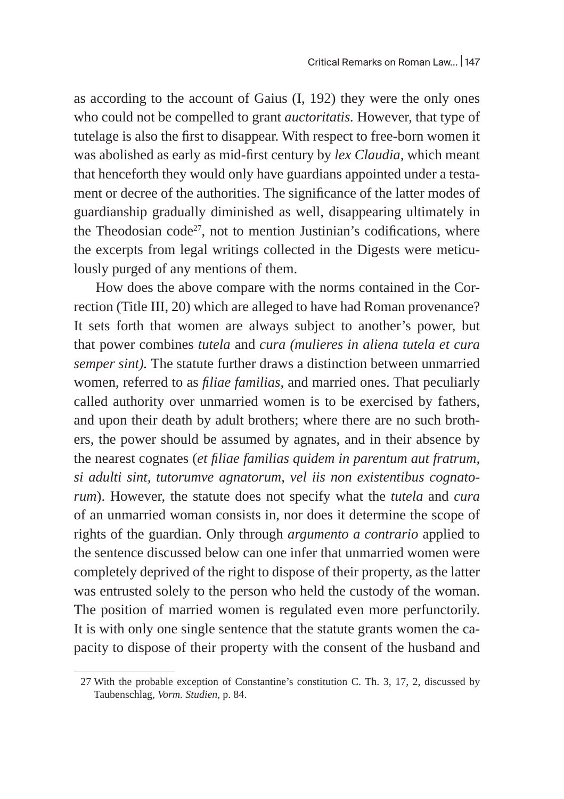as according to the account of Gaius (I, 192) they were the only ones who could not be compelled to grant *auctoritatis.* However, that type of tutelage is also the first to disappear. With respect to free-born women it was abolished as early as mid-first century by *lex Claudia,* which meant that henceforth they would only have guardians appointed under a testament or decree of the authorities. The significance of the latter modes of guardianship gradually diminished as well, disappearing ultimately in the Theodosian code $27$ , not to mention Justinian's codifications, where the excerpts from legal writings collected in the Digests were meticulously purged of any mentions of them.

How does the above compare with the norms contained in the Correction (Title III, 20) which are alleged to have had Roman provenance? It sets forth that women are always subject to another's power, but that power combines *tutela* and *cura (mulieres in aliena tutela et cura semper sint).* The statute further draws a distinction between unmarried women, referred to as *filiae familias*, and married ones. That peculiarly called authority over unmarried women is to be exercised by fathers, and upon their death by adult brothers; where there are no such brothers, the power should be assumed by agnates, and in their absence by the nearest cognates (*et filiae familias quidem in parentum aut fratrum, si adulti sint, tutorumve agnatorum, vel iis non existentibus cognatorum*). However, the statute does not specify what the *tutela* and *cura*  of an unmarried woman consists in, nor does it determine the scope of rights of the guardian. Only through *argumento a contrario* applied to the sentence discussed below can one infer that unmarried women were completely deprived of the right to dispose of their property, as the latter was entrusted solely to the person who held the custody of the woman. The position of married women is regulated even more perfunctorily. It is with only one single sentence that the statute grants women the capacity to dispose of their property with the consent of the husband and

<sup>27</sup> With the probable exception of Constantine's constitution C. Th. 3, 17, 2, discussed by Taubenschlag, *Vorm. Studien*, p. 84.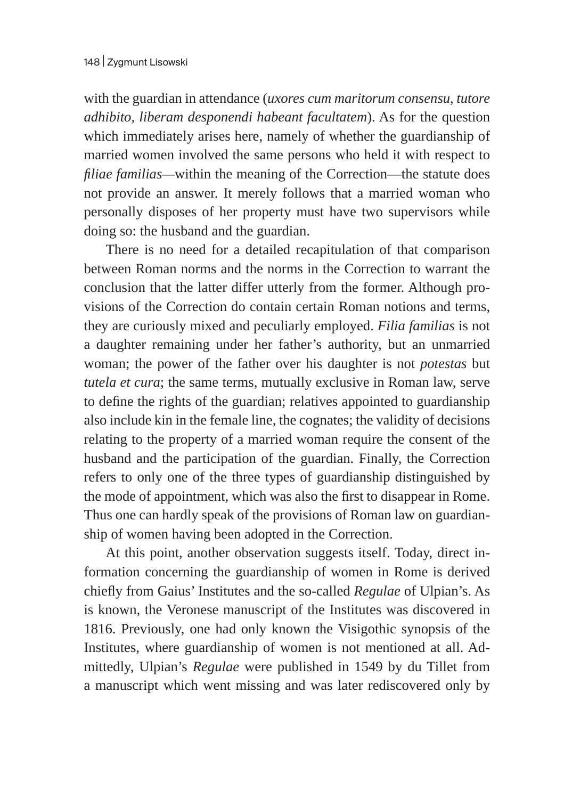with the guardian in attendance (*uxores cum maritorum consensu, tutore adhibito, liberam desponendi habeant facultatem*). As for the question which immediately arises here, namely of whether the guardianship of married women involved the same persons who held it with respect to *filiae familias—*within the meaning of the Correction—the statute does not provide an answer. It merely follows that a married woman who personally disposes of her property must have two supervisors while doing so: the husband and the guardian.

There is no need for a detailed recapitulation of that comparison between Roman norms and the norms in the Correction to warrant the conclusion that the latter differ utterly from the former. Although provisions of the Correction do contain certain Roman notions and terms, they are curiously mixed and peculiarly employed. *Filia familias* is not a daughter remaining under her father's authority, but an unmarried woman; the power of the father over his daughter is not *potestas* but *tutela et cura*; the same terms, mutually exclusive in Roman law, serve to define the rights of the guardian; relatives appointed to guardianship also include kin in the female line, the cognates; the validity of decisions relating to the property of a married woman require the consent of the husband and the participation of the guardian. Finally, the Correction refers to only one of the three types of guardianship distinguished by the mode of appointment, which was also the first to disappear in Rome. Thus one can hardly speak of the provisions of Roman law on guardianship of women having been adopted in the Correction.

At this point, another observation suggests itself. Today, direct information concerning the guardianship of women in Rome is derived chiefly from Gaius' Institutes and the so-called *Regulae* of Ulpian's. As is known, the Veronese manuscript of the Institutes was discovered in 1816. Previously, one had only known the Visigothic synopsis of the Institutes, where guardianship of women is not mentioned at all. Admittedly, Ulpian's *Regulae* were published in 1549 by du Tillet from a manuscript which went missing and was later rediscovered only by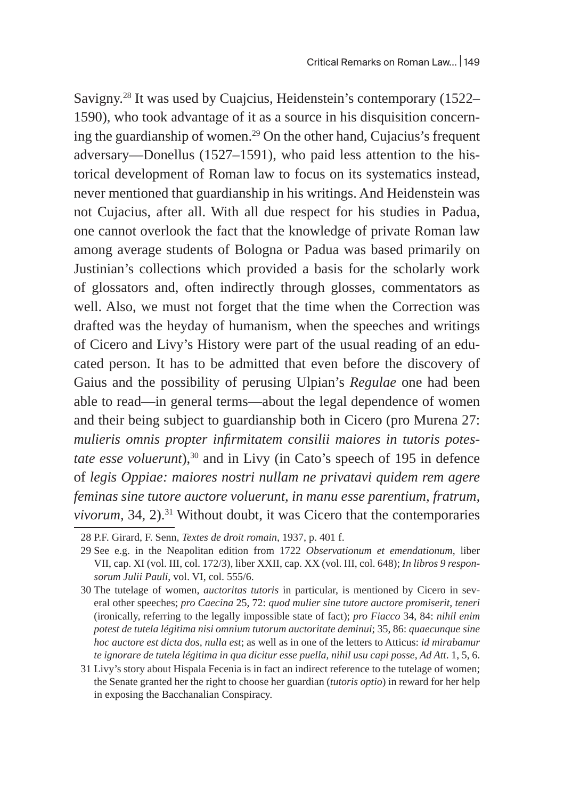Savigny.<sup>28</sup> It was used by Cuajcius, Heidenstein's contemporary (1522– 1590), who took advantage of it as a source in his disquisition concerning the guardianship of women.<sup>29</sup> On the other hand, Cujacius's frequent adversary—Donellus (1527–1591), who paid less attention to the historical development of Roman law to focus on its systematics instead, never mentioned that guardianship in his writings. And Heidenstein was not Cujacius, after all. With all due respect for his studies in Padua, one cannot overlook the fact that the knowledge of private Roman law among average students of Bologna or Padua was based primarily on Justinian's collections which provided a basis for the scholarly work of glossators and, often indirectly through glosses, commentators as well. Also, we must not forget that the time when the Correction was drafted was the heyday of humanism, when the speeches and writings of Cicero and Livy's History were part of the usual reading of an educated person. It has to be admitted that even before the discovery of Gaius and the possibility of perusing Ulpian's *Regulae* one had been able to read—in general terms—about the legal dependence of women and their being subject to guardianship both in Cicero (pro Murena 27: *mulieris omnis propter infirmitatem consilii maiores in tutoris potestate esse voluerunt*),<sup>30</sup> and in Livy (in Cato's speech of 195 in defence of *legis Oppiae: maiores nostri nullam ne privatavi quidem rem agere feminas sine tutore auctore voluerunt, in manu esse parentium, fratrum, vivorum,* 34, 2).<sup>31</sup> Without doubt, it was Cicero that the contemporaries

<sup>28</sup> P.F. Girard, F. Senn, *Textes de droit romain*, 1937, p. 401 f.

<sup>29</sup> See e.g. in the Neapolitan edition from 1722 *Observationum et emendationum*, liber VII, cap. XI (vol. III, col. 172/3), liber XXII, cap. XX (vol. III, col. 648); *In libros 9 responsorum Julii Pauli*, vol. VI, col. 555/6.

<sup>30</sup> The tutelage of women, *auctoritas tutoris* in particular, is mentioned by Cicero in several other speeches; *pro Caecina* 25, 72: *quod mulier sine tutore auctore promiserit, teneri* (ironically, referring to the legally impossible state of fact); *pro Fiacco* 34, 84: *nihil enim potest de tutela légitima nisi omnium tutorum auctoritate deminui*; 35, 86: *quaecunque sine hoc auctore est dicta dos, nulla est*; as well as in one of the letters to Atticus: *id mirabamur te ignorare de tutela légitima in qua dicitur esse puella, nihil usu capi posse*, *Ad Att*. 1, 5, 6.

<sup>31</sup> Livy's story about Hispala Fecenia is in fact an indirect reference to the tutelage of women; the Senate granted her the right to choose her guardian (*tutoris optio*) in reward for her help in exposing the Bacchanalian Conspiracy.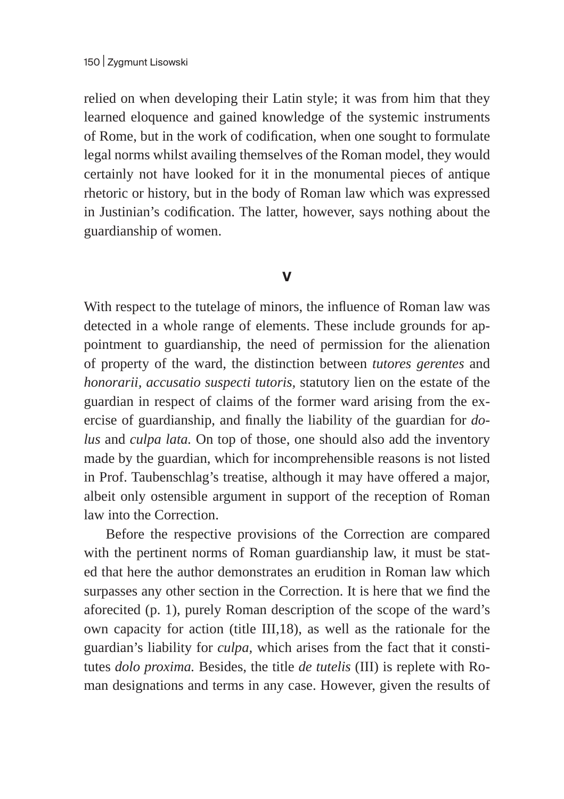relied on when developing their Latin style; it was from him that they learned eloquence and gained knowledge of the systemic instruments of Rome, but in the work of codification, when one sought to formulate legal norms whilst availing themselves of the Roman model, they would certainly not have looked for it in the monumental pieces of antique rhetoric or history, but in the body of Roman law which was expressed in Justinian's codification. The latter, however, says nothing about the guardianship of women.

### **V**

With respect to the tutelage of minors, the influence of Roman law was detected in a whole range of elements. These include grounds for appointment to guardianship, the need of permission for the alienation of property of the ward, the distinction between *tutores gerentes* and *honorarii, accusatio suspecti tutoris,* statutory lien on the estate of the guardian in respect of claims of the former ward arising from the exercise of guardianship, and finally the liability of the guardian for *dolus* and *culpa lata.* On top of those, one should also add the inventory made by the guardian, which for incomprehensible reasons is not listed in Prof. Taubenschlag's treatise, although it may have offered a major, albeit only ostensible argument in support of the reception of Roman law into the Correction.

Before the respective provisions of the Correction are compared with the pertinent norms of Roman guardianship law, it must be stated that here the author demonstrates an erudition in Roman law which surpasses any other section in the Correction. It is here that we find the aforecited (p. 1), purely Roman description of the scope of the ward's own capacity for action (title III,18), as well as the rationale for the guardian's liability for *culpa,* which arises from the fact that it constitutes *dolo proxima.* Besides, the title *de tutelis* (III) is replete with Roman designations and terms in any case. However, given the results of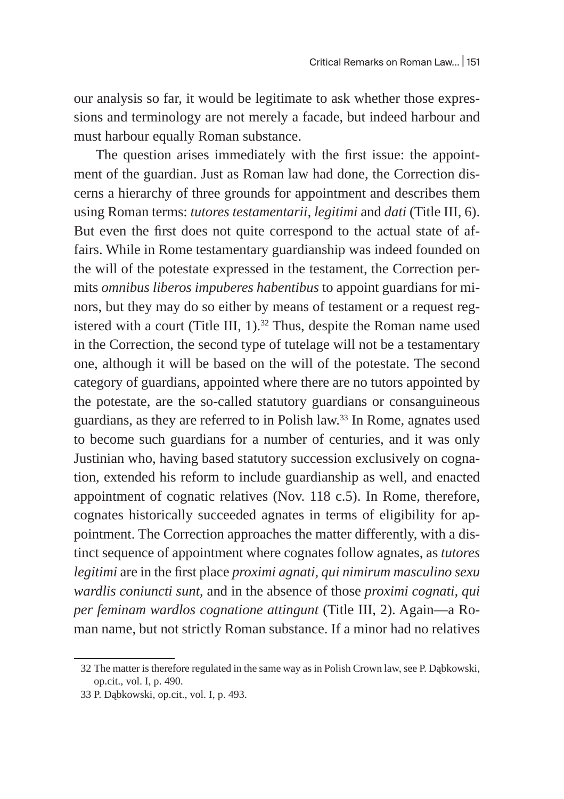our analysis so far, it would be legitimate to ask whether those expressions and terminology are not merely a facade, but indeed harbour and must harbour equally Roman substance.

The question arises immediately with the first issue: the appointment of the guardian. Just as Roman law had done, the Correction discerns a hierarchy of three grounds for appointment and describes them using Roman terms: *tutores testamentarii, legitimi* and *dati* (Title III, 6). But even the first does not quite correspond to the actual state of affairs. While in Rome testamentary guardianship was indeed founded on the will of the potestate expressed in the testament, the Correction permits *omnibus liberos impuberes habentibus* to appoint guardians for minors, but they may do so either by means of testament or a request registered with a court (Title III,  $1$ ).<sup>32</sup> Thus, despite the Roman name used in the Correction, the second type of tutelage will not be a testamentary one, although it will be based on the will of the potestate. The second category of guardians, appointed where there are no tutors appointed by the potestate, are the so-called statutory guardians or consanguineous guardians, as they are referred to in Polish law.<sup>33</sup> In Rome, agnates used to become such guardians for a number of centuries, and it was only Justinian who, having based statutory succession exclusively on cognation, extended his reform to include guardianship as well, and enacted appointment of cognatic relatives (Nov. 118 c.5). In Rome, therefore, cognates historically succeeded agnates in terms of eligibility for appointment. The Correction approaches the matter differently, with a distinct sequence of appointment where cognates follow agnates, as *tutores legitimi* are in the first place *proximi agnati, qui nimirum masculino sexu wardlis coniuncti sunt*, and in the absence of those *proximi cognati, qui per feminam wardlos cognatione attingunt* (Title III, 2). Again—a Roman name, but not strictly Roman substance. If a minor had no relatives

<sup>32</sup> The matter is therefore regulated in the same way as in Polish Crown law, see P. Dąbkowski, op.cit., vol. I, p. 490.

<sup>33</sup> P. Dąbkowski, op.cit., vol. I, p. 493.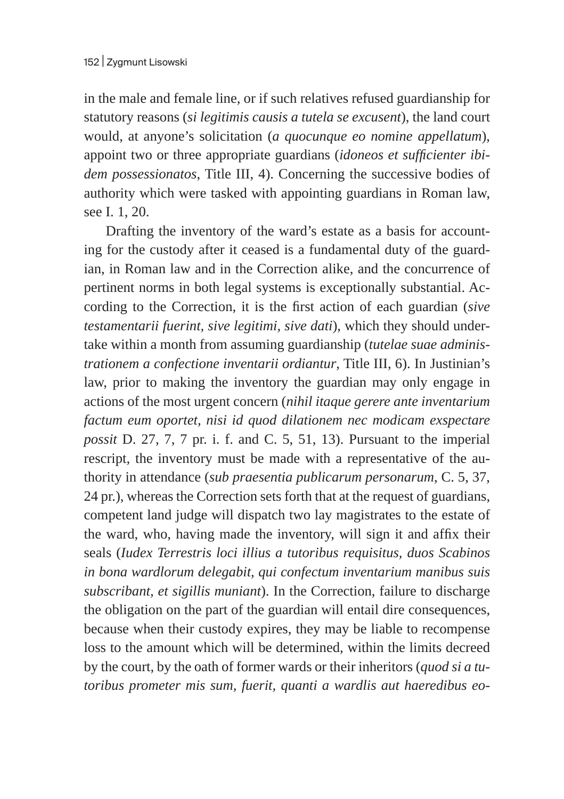in the male and female line, or if such relatives refused guardianship for statutory reasons (*si legitimis causis a tutela se excusent*), the land court would, at anyone's solicitation (*a quocunque eo nomine appellatum*), appoint two or three appropriate guardians (*idoneos et sufficienter ibidem possessionatos*, Title III, 4). Concerning the successive bodies of authority which were tasked with appointing guardians in Roman law, see I. 1, 20.

Drafting the inventory of the ward's estate as a basis for accounting for the custody after it ceased is a fundamental duty of the guardian, in Roman law and in the Correction alike, and the concurrence of pertinent norms in both legal systems is exceptionally substantial. According to the Correction, it is the first action of each guardian (*sive testamentarii fuerint, sive legitimi, sive dati*), which they should undertake within a month from assuming guardianship (*tutelae suae administrationem a confectione inventarii ordiantur*, Title III, 6). In Justinian's law, prior to making the inventory the guardian may only engage in actions of the most urgent concern (*nihil itaque gerere ante inventarium factum eum oportet, nisi id quod dilationem nec modicam exspectare possit* D. 27, 7, 7 pr. i. f. and C. 5, 51, 13). Pursuant to the imperial rescript, the inventory must be made with a representative of the authority in attendance (*sub praesentia publicarum personarum*, C. 5, 37, 24 pr.), whereas the Correction sets forth that at the request of guardians, competent land judge will dispatch two lay magistrates to the estate of the ward, who, having made the inventory, will sign it and affix their seals (*Iudex Terrestris loci illius a tutoribus requisitus, duos Scabinos in bona wardlorum delegabit, qui confectum inventarium manibus suis subscribant, et sigillis muniant*). In the Correction, failure to discharge the obligation on the part of the guardian will entail dire consequences, because when their custody expires, they may be liable to recompense loss to the amount which will be determined, within the limits decreed by the court, by the oath of former wards or their inheritors (*quod si a tutoribus prometer mis sum, fuerit, quanti a wardlis aut haeredibus eo-*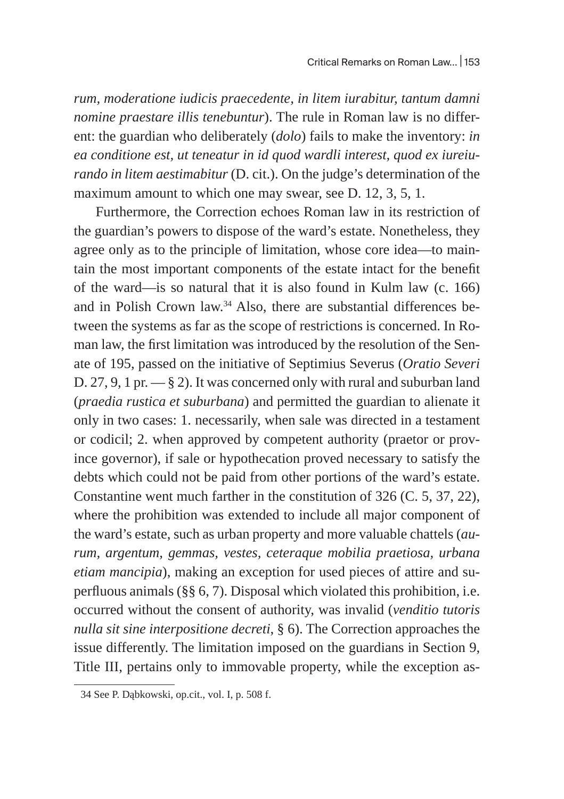*rum, moderatione iudicis praecedente, in litem iurabitur, tantum damni nomine praestare illis tenebuntur*). The rule in Roman law is no different: the guardian who deliberately (*dolo*) fails to make the inventory: *in ea conditione est, ut teneatur in id quod wardli interest, quod ex iureiurando in litem aestimabitur* (D. cit.). On the judge's determination of the maximum amount to which one may swear, see D. 12, 3, 5, 1.

Furthermore, the Correction echoes Roman law in its restriction of the guardian's powers to dispose of the ward's estate. Nonetheless, they agree only as to the principle of limitation, whose core idea—to maintain the most important components of the estate intact for the benefit of the ward—is so natural that it is also found in Kulm law (c. 166) and in Polish Crown law.34 Also, there are substantial differences between the systems as far as the scope of restrictions is concerned. In Roman law, the first limitation was introduced by the resolution of the Senate of 195, passed on the initiative of Septimius Severus (*Oratio Severi*  D. 27, 9, 1 pr.  $-$  § 2). It was concerned only with rural and suburban land (*praedia rustica et suburbana*) and permitted the guardian to alienate it only in two cases: 1. necessarily, when sale was directed in a testament or codicil; 2. when approved by competent authority (praetor or province governor), if sale or hypothecation proved necessary to satisfy the debts which could not be paid from other portions of the ward's estate. Constantine went much farther in the constitution of 326 (C. 5, 37, 22), where the prohibition was extended to include all major component of the ward's estate, such as urban property and more valuable chattels (*aurum, argentum, gemmas, vestes, ceteraque mobilia praetiosa, urbana etiam mancipia*), making an exception for used pieces of attire and superfluous animals (§§ 6, 7). Disposal which violated this prohibition, i.e. occurred without the consent of authority, was invalid (*venditio tutoris nulla sit sine interpositione decreti*, § 6). The Correction approaches the issue differently. The limitation imposed on the guardians in Section 9, Title III, pertains only to immovable property, while the exception as-

<sup>34</sup> See P. Dąbkowski, op.cit., vol. I, p. 508 f.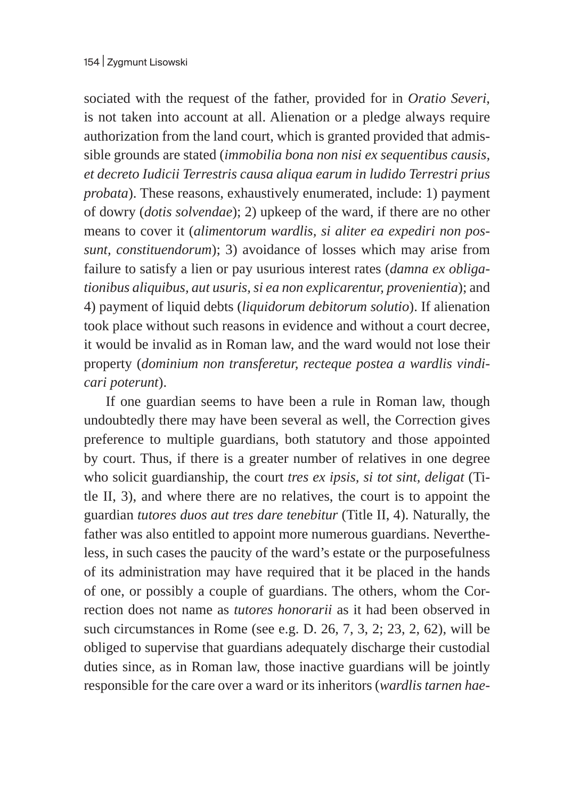sociated with the request of the father, provided for in *Oratio Severi*, is not taken into account at all. Alienation or a pledge always require authorization from the land court, which is granted provided that admissible grounds are stated (*immobilia bona non nisi ex sequentibus causis, et decreto Iudicii Terrestris causa aliqua earum in ludido Terrestri prius probata*). These reasons, exhaustively enumerated, include: 1) payment of dowry (*dotis solvendae*); 2) upkeep of the ward, if there are no other means to cover it (*alimentorum wardlis, si aliter ea expediri non possunt, constituendorum*); 3) avoidance of losses which may arise from failure to satisfy a lien or pay usurious interest rates (*damna ex obligationibus aliquibus, aut usuris, si ea non explicarentur, provenientia*); and 4) payment of liquid debts (*liquidorum debitorum solutio*). If alienation took place without such reasons in evidence and without a court decree, it would be invalid as in Roman law, and the ward would not lose their property (*dominium non transferetur, recteque postea a wardlis vindicari poterunt*).

If one guardian seems to have been a rule in Roman law, though undoubtedly there may have been several as well, the Correction gives preference to multiple guardians, both statutory and those appointed by court. Thus, if there is a greater number of relatives in one degree who solicit guardianship, the court *tres ex ipsis, si tot sint, deligat* (Title II, 3), and where there are no relatives, the court is to appoint the guardian *tutores duos aut tres dare tenebitur* (Title II, 4). Naturally, the father was also entitled to appoint more numerous guardians. Nevertheless, in such cases the paucity of the ward's estate or the purposefulness of its administration may have required that it be placed in the hands of one, or possibly a couple of guardians. The others, whom the Correction does not name as *tutores honorarii* as it had been observed in such circumstances in Rome (see e.g. D. 26, 7, 3, 2; 23, 2, 62), will be obliged to supervise that guardians adequately discharge their custodial duties since, as in Roman law, those inactive guardians will be jointly responsible for the care over a ward or its inheritors (*wardlis tarnen hae-*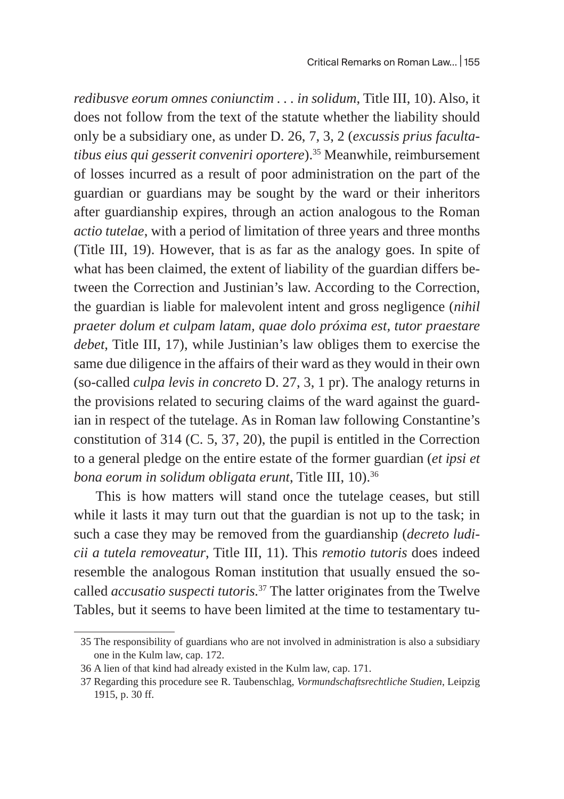*redibusve eorum omnes coniunctim . . . in solidum*, Title III, 10). Also, it does not follow from the text of the statute whether the liability should only be a subsidiary one, as under D. 26, 7, 3, 2 (*excussis prius facultatibus eius qui gesserit conveniri oportere*).35 Meanwhile, reimbursement of losses incurred as a result of poor administration on the part of the guardian or guardians may be sought by the ward or their inheritors after guardianship expires, through an action analogous to the Roman *actio tutelae*, with a period of limitation of three years and three months (Title III, 19). However, that is as far as the analogy goes. In spite of what has been claimed, the extent of liability of the guardian differs between the Correction and Justinian's law. According to the Correction, the guardian is liable for malevolent intent and gross negligence (*nihil praeter dolum et culpam latam, quae dolo próxima est, tutor praestare debet*, Title III, 17), while Justinian's law obliges them to exercise the same due diligence in the affairs of their ward as they would in their own (so-called *culpa levis in concreto* D. 27, 3, 1 pr). The analogy returns in the provisions related to securing claims of the ward against the guardian in respect of the tutelage. As in Roman law following Constantine's constitution of 314 (C. 5, 37, 20), the pupil is entitled in the Correction to a general pledge on the entire estate of the former guardian (*et ipsi et bona eorum in solidum obligata erunt*, Title III, 10).36

This is how matters will stand once the tutelage ceases, but still while it lasts it may turn out that the guardian is not up to the task; in such a case they may be removed from the guardianship (*decreto ludicii a tutela removeatur*, Title III, 11). This *remotio tutoris* does indeed resemble the analogous Roman institution that usually ensued the socalled *accusatio suspecti tutoris.*37 The latter originates from the Twelve Tables, but it seems to have been limited at the time to testamentary tu-

<sup>35</sup> The responsibility of guardians who are not involved in administration is also a subsidiary one in the Kulm law, cap. 172.

<sup>36</sup> A lien of that kind had already existed in the Kulm law, cap. 171.

<sup>37</sup> Regarding this procedure see R. Taubenschlag, *Vormundschaftsrechtliche Studien*, Leipzig 1915, p. 30 ff.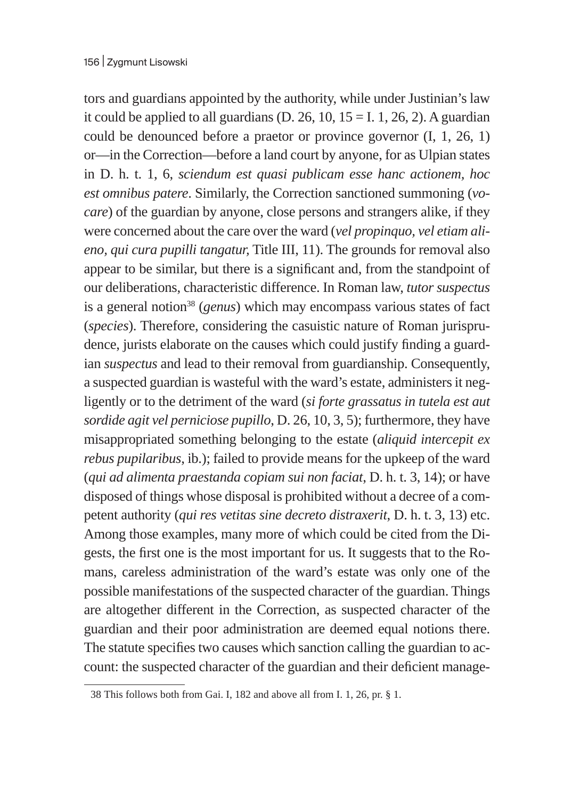tors and guardians appointed by the authority, while under Justinian's law it could be applied to all guardians (D. 26, 10,  $15 = I$ . 1, 26, 2). A guardian could be denounced before a praetor or province governor (I, 1, 26, 1) or—in the Correction—before a land court by anyone, for as Ulpian states in D. h. t. 1, 6, *sciendum est quasi publicam esse hanc actionem, hoc est omnibus patere*. Similarly, the Correction sanctioned summoning (*vocare*) of the guardian by anyone, close persons and strangers alike, if they were concerned about the care over the ward (*vel propinquo, vel etiam alieno, qui cura pupilli tangatur,* Title III, 11). The grounds for removal also appear to be similar, but there is a significant and, from the standpoint of our deliberations, characteristic difference. In Roman law, *tutor suspectus*  is a general notion<sup>38</sup> (*genus*) which may encompass various states of fact (*species*). Therefore, considering the casuistic nature of Roman jurisprudence, jurists elaborate on the causes which could justify finding a guardian *suspectus* and lead to their removal from guardianship. Consequently, a suspected guardian is wasteful with the ward's estate, administers it negligently or to the detriment of the ward (*si forte grassatus in tutela est aut sordide agit vel perniciose pupillo*, D. 26, 10, 3, 5); furthermore, they have misappropriated something belonging to the estate (*aliquid intercepit ex rebus pupilaribus*, ib.); failed to provide means for the upkeep of the ward (*qui ad alimenta praestanda copiam sui non faciat*, D. h. t. 3, 14); or have disposed of things whose disposal is prohibited without a decree of a competent authority (*qui res vetitas sine decreto distraxerit*, D. h. t. 3, 13) etc. Among those examples, many more of which could be cited from the Digests, the first one is the most important for us. It suggests that to the Romans, careless administration of the ward's estate was only one of the possible manifestations of the suspected character of the guardian. Things are altogether different in the Correction, as suspected character of the guardian and their poor administration are deemed equal notions there. The statute specifies two causes which sanction calling the guardian to account: the suspected character of the guardian and their deficient manage-

<sup>38</sup> This follows both from Gai. I, 182 and above all from I. 1, 26, pr. § 1.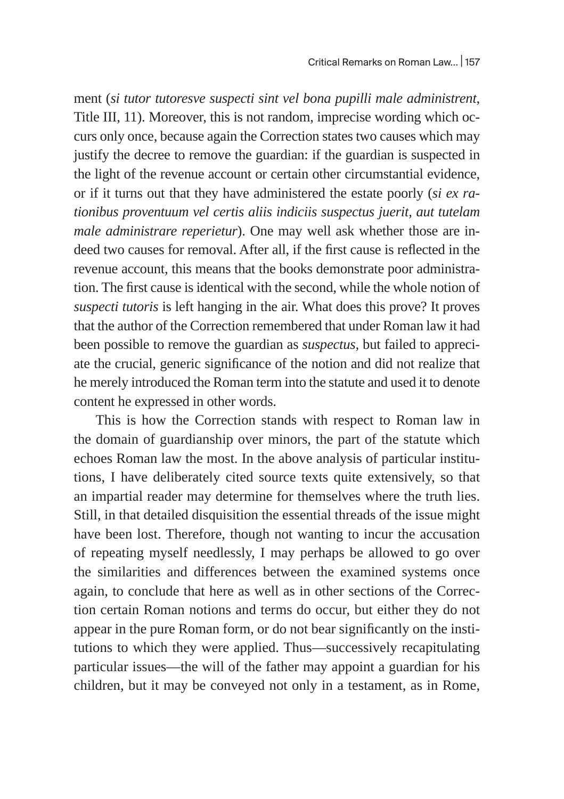ment (*si tutor tutoresve suspecti sint vel bona pupilli male administrent*, Title III, 11). Moreover, this is not random, imprecise wording which occurs only once, because again the Correction states two causes which may justify the decree to remove the guardian: if the guardian is suspected in the light of the revenue account or certain other circumstantial evidence, or if it turns out that they have administered the estate poorly (*si ex rationibus proventuum vel certis aliis indiciis suspectus juerit, aut tutelam male administrare reperietur*). One may well ask whether those are indeed two causes for removal. After all, if the first cause is reflected in the revenue account, this means that the books demonstrate poor administration. The first cause is identical with the second, while the whole notion of *suspecti tutoris* is left hanging in the air. What does this prove? It proves that the author of the Correction remembered that under Roman law it had been possible to remove the guardian as *suspectus,* but failed to appreciate the crucial, generic significance of the notion and did not realize that he merely introduced the Roman term into the statute and used it to denote content he expressed in other words.

This is how the Correction stands with respect to Roman law in the domain of guardianship over minors, the part of the statute which echoes Roman law the most. In the above analysis of particular institutions, I have deliberately cited source texts quite extensively, so that an impartial reader may determine for themselves where the truth lies. Still, in that detailed disquisition the essential threads of the issue might have been lost. Therefore, though not wanting to incur the accusation of repeating myself needlessly, I may perhaps be allowed to go over the similarities and differences between the examined systems once again, to conclude that here as well as in other sections of the Correction certain Roman notions and terms do occur, but either they do not appear in the pure Roman form, or do not bear significantly on the institutions to which they were applied. Thus—successively recapitulating particular issues—the will of the father may appoint a guardian for his children, but it may be conveyed not only in a testament, as in Rome,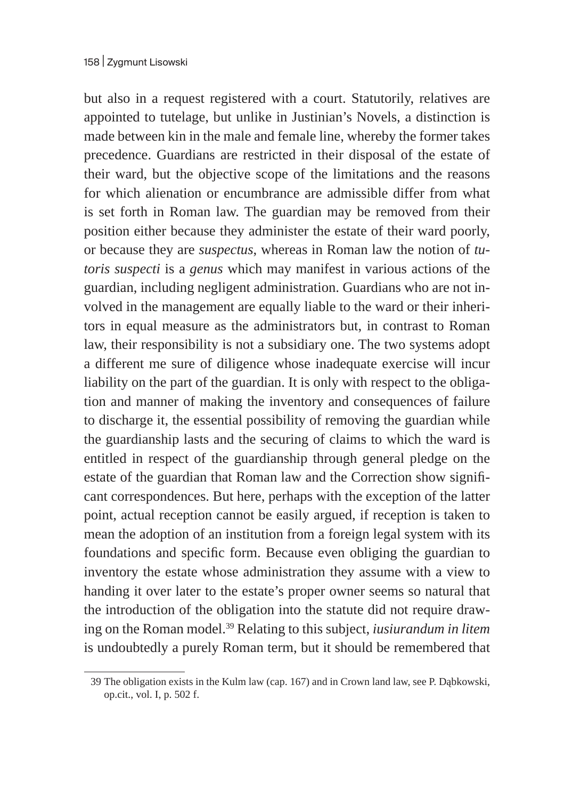but also in a request registered with a court. Statutorily, relatives are appointed to tutelage, but unlike in Justinian's Novels, a distinction is made between kin in the male and female line, whereby the former takes precedence. Guardians are restricted in their disposal of the estate of their ward, but the objective scope of the limitations and the reasons for which alienation or encumbrance are admissible differ from what is set forth in Roman law. The guardian may be removed from their position either because they administer the estate of their ward poorly, or because they are *suspectus*, whereas in Roman law the notion of *tutoris suspecti* is a *genus* which may manifest in various actions of the guardian, including negligent administration. Guardians who are not involved in the management are equally liable to the ward or their inheritors in equal measure as the administrators but, in contrast to Roman law, their responsibility is not a subsidiary one. The two systems adopt a different me sure of diligence whose inadequate exercise will incur liability on the part of the guardian. It is only with respect to the obligation and manner of making the inventory and consequences of failure to discharge it, the essential possibility of removing the guardian while the guardianship lasts and the securing of claims to which the ward is entitled in respect of the guardianship through general pledge on the estate of the guardian that Roman law and the Correction show significant correspondences. But here, perhaps with the exception of the latter point, actual reception cannot be easily argued, if reception is taken to mean the adoption of an institution from a foreign legal system with its foundations and specific form. Because even obliging the guardian to inventory the estate whose administration they assume with a view to handing it over later to the estate's proper owner seems so natural that the introduction of the obligation into the statute did not require drawing on the Roman model.<sup>39</sup> Relating to this subject, *iusiurandum in litem*  is undoubtedly a purely Roman term, but it should be remembered that

<sup>39</sup> The obligation exists in the Kulm law (cap. 167) and in Crown land law, see P. Dąbkowski, op.cit., vol. I, p. 502 f.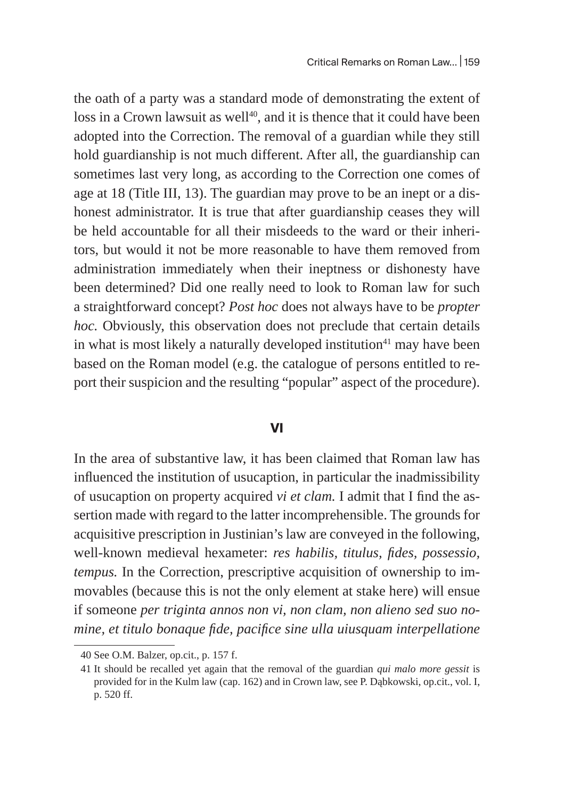the oath of a party was a standard mode of demonstrating the extent of loss in a Crown lawsuit as well<sup>40</sup>, and it is thence that it could have been adopted into the Correction. The removal of a guardian while they still hold guardianship is not much different. After all, the guardianship can sometimes last very long, as according to the Correction one comes of age at 18 (Title III, 13). The guardian may prove to be an inept or a dishonest administrator. It is true that after guardianship ceases they will be held accountable for all their misdeeds to the ward or their inheritors, but would it not be more reasonable to have them removed from administration immediately when their ineptness or dishonesty have been determined? Did one really need to look to Roman law for such a straightforward concept? *Post hoc* does not always have to be *propter hoc.* Obviously, this observation does not preclude that certain details in what is most likely a naturally developed institution $41$  may have been based on the Roman model (e.g. the catalogue of persons entitled to report their suspicion and the resulting "popular" aspect of the procedure).

#### **VI**

In the area of substantive law, it has been claimed that Roman law has influenced the institution of usucaption, in particular the inadmissibility of usucaption on property acquired *vi et clam.* I admit that I find the assertion made with regard to the latter incomprehensible. The grounds for acquisitive prescription in Justinian's law are conveyed in the following, well-known medieval hexameter: *res habilis, titulus, fides, possessio, tempus.* In the Correction, prescriptive acquisition of ownership to immovables (because this is not the only element at stake here) will ensue if someone *per triginta annos non vi, non clam, non alieno sed suo nomine, et titulo bonaque fide, pacifice sine ulla uiusquam interpellatione* 

<sup>40</sup> See O.M. Balzer, op.cit., p. 157 f.

<sup>41</sup> It should be recalled yet again that the removal of the guardian *qui malo more gessit* is provided for in the Kulm law (cap. 162) and in Crown law, see P. Dąbkowski, op.cit., vol. I, p. 520 ff.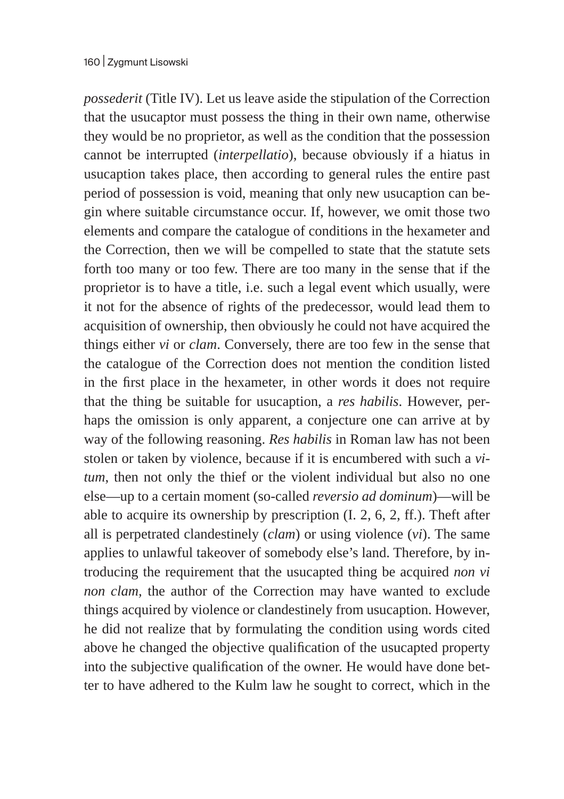*possederit* (Title IV). Let us leave aside the stipulation of the Correction that the usucaptor must possess the thing in their own name, otherwise they would be no proprietor, as well as the condition that the possession cannot be interrupted (*interpellatio*), because obviously if a hiatus in usucaption takes place, then according to general rules the entire past period of possession is void, meaning that only new usucaption can begin where suitable circumstance occur. If, however, we omit those two elements and compare the catalogue of conditions in the hexameter and the Correction, then we will be compelled to state that the statute sets forth too many or too few. There are too many in the sense that if the proprietor is to have a title, i.e. such a legal event which usually, were it not for the absence of rights of the predecessor, would lead them to acquisition of ownership, then obviously he could not have acquired the things either *vi* or *clam*. Conversely, there are too few in the sense that the catalogue of the Correction does not mention the condition listed in the first place in the hexameter, in other words it does not require that the thing be suitable for usucaption, a *res habilis*. However, perhaps the omission is only apparent, a conjecture one can arrive at by way of the following reasoning. *Res habilis* in Roman law has not been stolen or taken by violence, because if it is encumbered with such a *vitum*, then not only the thief or the violent individual but also no one else—up to a certain moment (so-called *reversio ad dominum*)—will be able to acquire its ownership by prescription (I. 2, 6, 2, ff.). Theft after all is perpetrated clandestinely (*clam*) or using violence (*vi*). The same applies to unlawful takeover of somebody else's land. Therefore, by introducing the requirement that the usucapted thing be acquired *non vi non clam,* the author of the Correction may have wanted to exclude things acquired by violence or clandestinely from usucaption. However, he did not realize that by formulating the condition using words cited above he changed the objective qualification of the usucapted property into the subjective qualification of the owner. He would have done better to have adhered to the Kulm law he sought to correct, which in the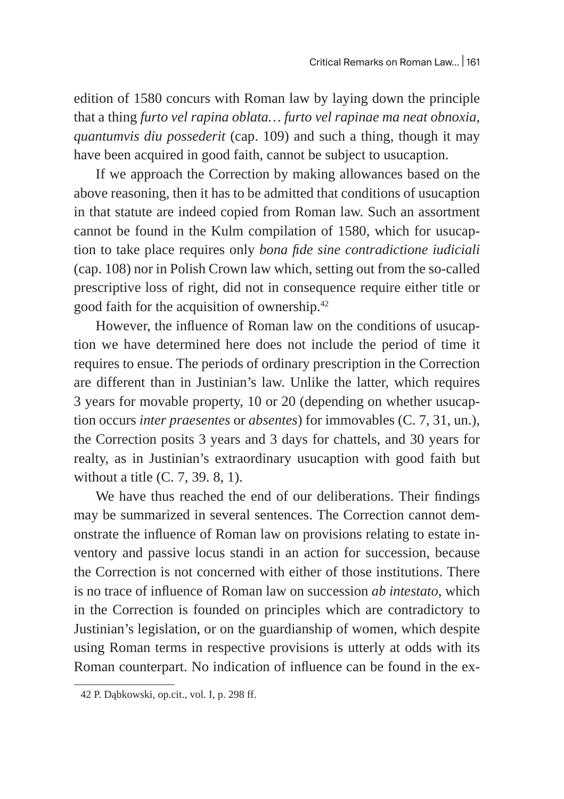edition of 1580 concurs with Roman law by laying down the principle that a thing *furto vel rapina oblata… furto vel rapinae ma neat obnoxia, quantumvis diu possederit* (cap. 109) and such a thing, though it may have been acquired in good faith, cannot be subject to usucaption.

If we approach the Correction by making allowances based on the above reasoning, then it has to be admitted that conditions of usucaption in that statute are indeed copied from Roman law. Such an assortment cannot be found in the Kulm compilation of 1580, which for usucaption to take place requires only *bona fide sine contradictione iudiciali*  (cap. 108) nor in Polish Crown law which, setting out from the so-called prescriptive loss of right, did not in consequence require either title or good faith for the acquisition of ownership.42

However, the influence of Roman law on the conditions of usucaption we have determined here does not include the period of time it requires to ensue. The periods of ordinary prescription in the Correction are different than in Justinian's law. Unlike the latter, which requires 3 years for movable property, 10 or 20 (depending on whether usucaption occurs *inter praesentes* or *absentes*) for immovables (C. 7, 31, un.), the Correction posits 3 years and 3 days for chattels, and 30 years for realty, as in Justinian's extraordinary usucaption with good faith but without a title (C. 7, 39. 8, 1).

We have thus reached the end of our deliberations. Their findings may be summarized in several sentences. The Correction cannot demonstrate the influence of Roman law on provisions relating to estate inventory and passive locus standi in an action for succession, because the Correction is not concerned with either of those institutions. There is no trace of influence of Roman law on succession *ab intestato*, which in the Correction is founded on principles which are contradictory to Justinian's legislation, or on the guardianship of women, which despite using Roman terms in respective provisions is utterly at odds with its Roman counterpart. No indication of influence can be found in the ex-

<sup>42</sup> P. Dąbkowski, op.cit., vol. I, p. 298 ff.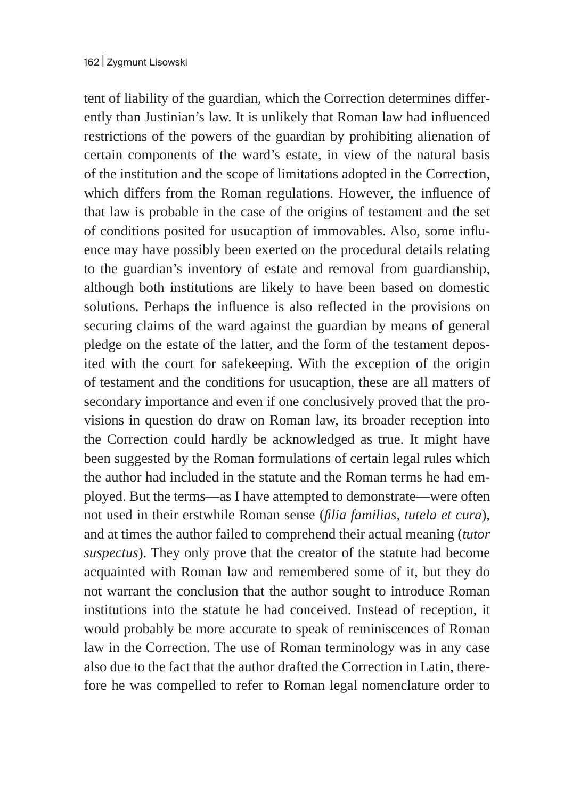tent of liability of the guardian, which the Correction determines differently than Justinian's law. It is unlikely that Roman law had influenced restrictions of the powers of the guardian by prohibiting alienation of certain components of the ward's estate, in view of the natural basis of the institution and the scope of limitations adopted in the Correction, which differs from the Roman regulations. However, the influence of that law is probable in the case of the origins of testament and the set of conditions posited for usucaption of immovables. Also, some influence may have possibly been exerted on the procedural details relating to the guardian's inventory of estate and removal from guardianship, although both institutions are likely to have been based on domestic solutions. Perhaps the influence is also reflected in the provisions on securing claims of the ward against the guardian by means of general pledge on the estate of the latter, and the form of the testament deposited with the court for safekeeping. With the exception of the origin of testament and the conditions for usucaption, these are all matters of secondary importance and even if one conclusively proved that the provisions in question do draw on Roman law, its broader reception into the Correction could hardly be acknowledged as true. It might have been suggested by the Roman formulations of certain legal rules which the author had included in the statute and the Roman terms he had employed. But the terms—as I have attempted to demonstrate—were often not used in their erstwhile Roman sense (*filia familias*, *tutela et cura*), and at times the author failed to comprehend their actual meaning (*tutor suspectus*). They only prove that the creator of the statute had become acquainted with Roman law and remembered some of it, but they do not warrant the conclusion that the author sought to introduce Roman institutions into the statute he had conceived. Instead of reception, it would probably be more accurate to speak of reminiscences of Roman law in the Correction. The use of Roman terminology was in any case also due to the fact that the author drafted the Correction in Latin, therefore he was compelled to refer to Roman legal nomenclature order to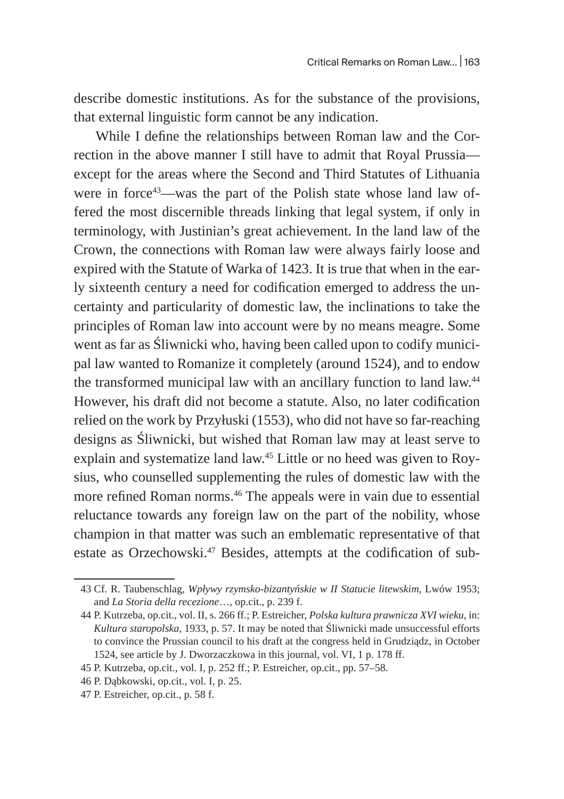describe domestic institutions. As for the substance of the provisions, that external linguistic form cannot be any indication.

While I define the relationships between Roman law and the Correction in the above manner I still have to admit that Royal Prussia except for the areas where the Second and Third Statutes of Lithuania were in force<sup>43</sup>—was the part of the Polish state whose land law offered the most discernible threads linking that legal system, if only in terminology, with Justinian's great achievement. In the land law of the Crown, the connections with Roman law were always fairly loose and expired with the Statute of Warka of 1423. It is true that when in the early sixteenth century a need for codification emerged to address the uncertainty and particularity of domestic law, the inclinations to take the principles of Roman law into account were by no means meagre. Some went as far as Śliwnicki who, having been called upon to codify municipal law wanted to Romanize it completely (around 1524), and to endow the transformed municipal law with an ancillary function to land law.<sup>44</sup> However, his draft did not become a statute. Also, no later codification relied on the work by Przyłuski (1553), who did not have so far-reaching designs as Śliwnicki, but wished that Roman law may at least serve to explain and systematize land law.45 Little or no heed was given to Roysius, who counselled supplementing the rules of domestic law with the more refined Roman norms.<sup>46</sup> The appeals were in vain due to essential reluctance towards any foreign law on the part of the nobility, whose champion in that matter was such an emblematic representative of that estate as Orzechowski.<sup>47</sup> Besides, attempts at the codification of sub-

<sup>43</sup> Cf. R. Taubenschlag, *Wpływy rzymsko-bizantyńskie w II Statucie litewskim*, Lwów 1953; and *La Storia della recezione*…, op.cit., p. 239 f.

<sup>44</sup> P. Kutrzeba, op.cit., vol. II, s. 266 ff.; P. Estreicher, *Polska kultura prawnicza XVI wieku*, in: *Kultura staropolska*, 1933, p. 57. It may be noted that Śliwnicki made unsuccessful efforts to convince the Prussian council to his draft at the congress held in Grudziądz, in October 1524, see article by J. Dworzaczkowa in this journal, vol. VI, 1 p. 178 ff.

<sup>45</sup> P. Kutrzeba, op.cit., vol. I, p. 252 ff.; P. Estreicher, op.cit., pp. 57–58.

<sup>46</sup> P. Dąbkowski, op.cit., vol. I, p. 25.

<sup>47</sup> P. Estreicher, op.cit., p. 58 f.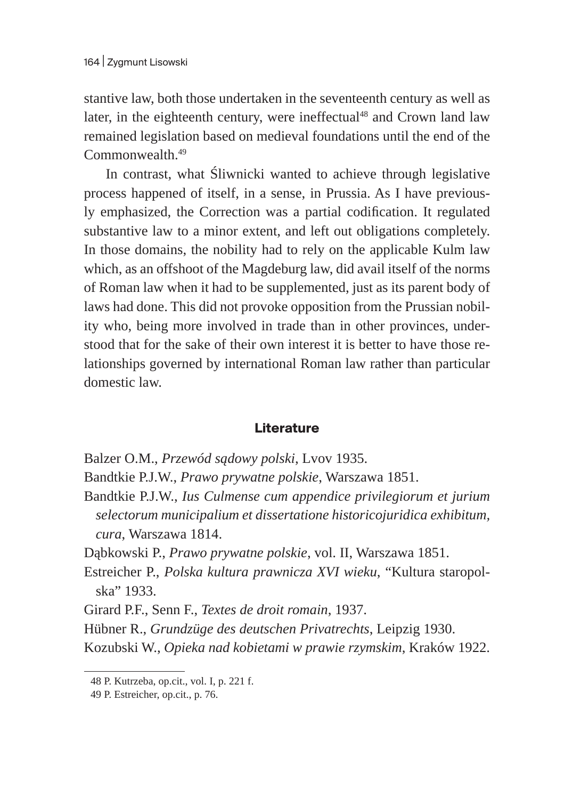stantive law, both those undertaken in the seventeenth century as well as later, in the eighteenth century, were ineffectual<sup>48</sup> and Crown land law remained legislation based on medieval foundations until the end of the Commonwealth.<sup>49</sup>

In contrast, what Śliwnicki wanted to achieve through legislative process happened of itself, in a sense, in Prussia. As I have previously emphasized, the Correction was a partial codification. It regulated substantive law to a minor extent, and left out obligations completely. In those domains, the nobility had to rely on the applicable Kulm law which, as an offshoot of the Magdeburg law, did avail itself of the norms of Roman law when it had to be supplemented, just as its parent body of laws had done. This did not provoke opposition from the Prussian nobility who, being more involved in trade than in other provinces, understood that for the sake of their own interest it is better to have those relationships governed by international Roman law rather than particular domestic law.

## **Literature**

- Balzer O.M., *Przewód sądowy polski*, Lvov 1935.
- Bandtkie P.J.W., *Prawo prywatne polskie*, Warszawa 1851.
- Bandtkie P.J.W., *Ius Culmense cum appendice privilegiorum et jurium selectorum municipalium et dissertatione historicojuridica exhibitum, cura*, Warszawa 1814.
- Dąbkowski P., *Prawo prywatne polskie*, vol. II, Warszawa 1851.
- Estreicher P., *Polska kultura prawnicza XVI wieku*, "Kultura staropolska" 1933.
- Girard P.F., Senn F., *Textes de droit romain*, 1937.
- Hübner R., *Grundzüge des deutschen Privatrechts*, Leipzig 1930.

Kozubski W., *Opieka nad kobietami w prawie rzymskim*, Kraków 1922.

<sup>48</sup> P. Kutrzeba, op.cit., vol. I, p. 221 f.

<sup>49</sup> P. Estreicher, op.cit., p. 76.